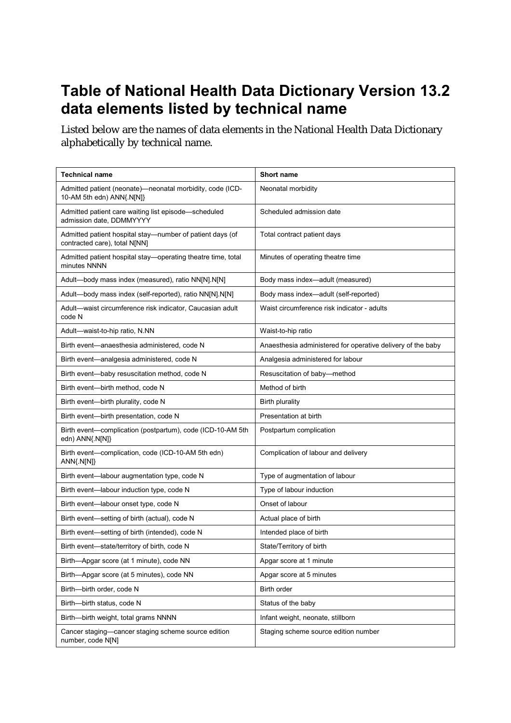## **Table of National Health Data Dictionary Version 13.2 data elements listed by technical name**

Listed below are the names of data elements in the National Health Data Dictionary alphabetically by technical name.

| <b>Technical name</b>                                                                      | <b>Short name</b>                                           |
|--------------------------------------------------------------------------------------------|-------------------------------------------------------------|
| Admitted patient (neonate)-neonatal morbidity, code (ICD-<br>10-AM 5th edn) ANN{.N[N]}     | Neonatal morbidity                                          |
| Admitted patient care waiting list episode-scheduled<br>admission date, DDMMYYYY           | Scheduled admission date                                    |
| Admitted patient hospital stay—number of patient days (of<br>contracted care), total N[NN] | Total contract patient days                                 |
| Admitted patient hospital stay—operating theatre time, total<br>minutes NNNN               | Minutes of operating theatre time                           |
| Adult-body mass index (measured), ratio NN[N].N[N]                                         | Body mass index-adult (measured)                            |
| Adult-body mass index (self-reported), ratio NN[N].N[N]                                    | Body mass index-adult (self-reported)                       |
| Adult-waist circumference risk indicator, Caucasian adult<br>code N                        | Waist circumference risk indicator - adults                 |
| Adult-waist-to-hip ratio, N.NN                                                             | Waist-to-hip ratio                                          |
| Birth event—anaesthesia administered, code N                                               | Anaesthesia administered for operative delivery of the baby |
| Birth event—analgesia administered, code N                                                 | Analgesia administered for labour                           |
| Birth event-baby resuscitation method, code N                                              | Resuscitation of baby-method                                |
| Birth event-birth method, code N                                                           | Method of birth                                             |
| Birth event-birth plurality, code N                                                        | <b>Birth plurality</b>                                      |
| Birth event--birth presentation, code N                                                    | Presentation at birth                                       |
| Birth event-complication (postpartum), code (ICD-10-AM 5th<br>edn) ANN{.N[N]}              | Postpartum complication                                     |
| Birth event—complication, code (ICD-10-AM 5th edn)<br>$ANN{N[N]}$                          | Complication of labour and delivery                         |
| Birth event-labour augmentation type, code N                                               | Type of augmentation of labour                              |
| Birth event-labour induction type, code N                                                  | Type of labour induction                                    |
| Birth event-labour onset type, code N                                                      | Onset of labour                                             |
| Birth event-setting of birth (actual), code N                                              | Actual place of birth                                       |
| Birth event-setting of birth (intended), code N                                            | Intended place of birth                                     |
| Birth event-state/territory of birth, code N                                               | State/Territory of birth                                    |
| Birth-Apgar score (at 1 minute), code NN                                                   | Apgar score at 1 minute                                     |
| Birth-Apgar score (at 5 minutes), code NN                                                  | Apgar score at 5 minutes                                    |
| Birth-birth order, code N                                                                  | Birth order                                                 |
| Birth-birth status, code N                                                                 | Status of the baby                                          |
| Birth-birth weight, total grams NNNN                                                       | Infant weight, neonate, stillborn                           |
| Cancer staging-cancer staging scheme source edition<br>number, code N[N]                   | Staging scheme source edition number                        |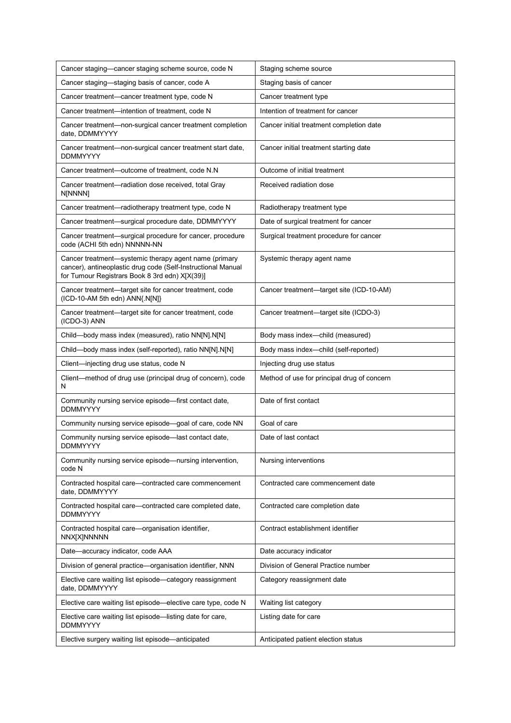| Cancer staging-cancer staging scheme source, code N                                                                                                                     | Staging scheme source                       |
|-------------------------------------------------------------------------------------------------------------------------------------------------------------------------|---------------------------------------------|
| Cancer staging—staging basis of cancer, code A                                                                                                                          | Staging basis of cancer                     |
| Cancer treatment—cancer treatment type, code N                                                                                                                          | Cancer treatment type                       |
| Cancer treatment—intention of treatment, code N                                                                                                                         | Intention of treatment for cancer           |
| Cancer treatment-non-surgical cancer treatment completion<br>date, DDMMYYYY                                                                                             | Cancer initial treatment completion date    |
| Cancer treatment—non-surgical cancer treatment start date,<br><b>DDMMYYYY</b>                                                                                           | Cancer initial treatment starting date      |
| Cancer treatment—outcome of treatment, code N.N                                                                                                                         | Outcome of initial treatment                |
| Cancer treatment-radiation dose received, total Gray<br>N[NNNN]                                                                                                         | Received radiation dose                     |
| Cancer treatment—radiotherapy treatment type, code N                                                                                                                    | Radiotherapy treatment type                 |
| Cancer treatment—surgical procedure date, DDMMYYYY                                                                                                                      | Date of surgical treatment for cancer       |
| Cancer treatment—surgical procedure for cancer, procedure<br>code (ACHI 5th edn) NNNNN-NN                                                                               | Surgical treatment procedure for cancer     |
| Cancer treatment—systemic therapy agent name (primary<br>cancer), antineoplastic drug code (Self-Instructional Manual<br>for Tumour Registrars Book 8 3rd edn) X[X(39)] | Systemic therapy agent name                 |
| Cancer treatment—target site for cancer treatment, code<br>(ICD-10-AM 5th edn) ANN{.N[N]}                                                                               | Cancer treatment—target site (ICD-10-AM)    |
| Cancer treatment—target site for cancer treatment, code<br>(ICDO-3) ANN                                                                                                 | Cancer treatment—target site (ICDO-3)       |
| Child-body mass index (measured), ratio NN[N].N[N]                                                                                                                      | Body mass index-child (measured)            |
| Child-body mass index (self-reported), ratio NN[N].N[N]                                                                                                                 | Body mass index-child (self-reported)       |
| Client-injecting drug use status, code N                                                                                                                                | Injecting drug use status                   |
| Client-method of drug use (principal drug of concern), code<br>N                                                                                                        | Method of use for principal drug of concern |
| Community nursing service episode—first contact date,<br><b>DDMMYYYY</b>                                                                                                | Date of first contact                       |
| Community nursing service episode-goal of care, code NN                                                                                                                 | Goal of care                                |
| Community nursing service episode-last contact date,<br>DDMMYYYY                                                                                                        | Date of last contact                        |
| Community nursing service episode—nursing intervention,<br>code N                                                                                                       | Nursing interventions                       |
| Contracted hospital care-contracted care commencement<br>date, DDMMYYYY                                                                                                 | Contracted care commencement date           |
| Contracted hospital care—contracted care completed date,<br><b>DDMMYYYY</b>                                                                                             | Contracted care completion date             |
| Contracted hospital care-organisation identifier,<br>NNX[X]NNNNN                                                                                                        | Contract establishment identifier           |
| Date-accuracy indicator, code AAA                                                                                                                                       | Date accuracy indicator                     |
| Division of general practice-organisation identifier, NNN                                                                                                               | Division of General Practice number         |
| Elective care waiting list episode—category reassignment<br>date, DDMMYYYY                                                                                              | Category reassignment date                  |
| Elective care waiting list episode—elective care type, code N                                                                                                           | Waiting list category                       |
| Elective care waiting list episode—listing date for care,<br><b>DDMMYYYY</b>                                                                                            | Listing date for care                       |
| Elective surgery waiting list episode—anticipated                                                                                                                       | Anticipated patient election status         |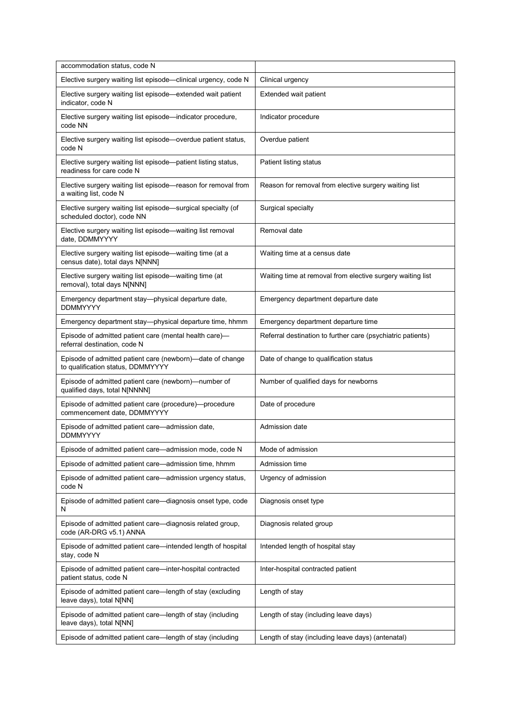| accommodation status, code N                                                                   |                                                             |
|------------------------------------------------------------------------------------------------|-------------------------------------------------------------|
| Elective surgery waiting list episode-clinical urgency, code N                                 | Clinical urgency                                            |
| Elective surgery waiting list episode-extended wait patient<br>indicator, code N               | Extended wait patient                                       |
| Elective surgery waiting list episode-indicator procedure,<br>code NN                          | Indicator procedure                                         |
| Elective surgery waiting list episode—overdue patient status,<br>code N                        | Overdue patient                                             |
| Elective surgery waiting list episode-patient listing status,<br>readiness for care code N     | Patient listing status                                      |
| Elective surgery waiting list episode—reason for removal from<br>a waiting list, code N        | Reason for removal from elective surgery waiting list       |
| Elective surgery waiting list episode—surgical specialty (of<br>scheduled doctor), code NN     | Surgical specialty                                          |
| Elective surgery waiting list episode-waiting list removal<br>date, DDMMYYYY                   | Removal date                                                |
| Elective surgery waiting list episode—waiting time (at a<br>census date), total days N[NNN]    | Waiting time at a census date                               |
| Elective surgery waiting list episode-waiting time (at<br>removal), total days N[NNN]          | Waiting time at removal from elective surgery waiting list  |
| Emergency department stay-physical departure date,<br><b>DDMMYYYY</b>                          | Emergency department departure date                         |
| Emergency department stay-physical departure time, hhmm                                        | Emergency department departure time                         |
| Episode of admitted patient care (mental health care)-<br>referral destination, code N         | Referral destination to further care (psychiatric patients) |
| Episode of admitted patient care (newborn)-date of change<br>to qualification status, DDMMYYYY | Date of change to qualification status                      |
| Episode of admitted patient care (newborn)—number of<br>qualified days, total N[NNNN]          | Number of qualified days for newborns                       |
| Episode of admitted patient care (procedure)-procedure<br>commencement date, DDMMYYYY          | Date of procedure                                           |
| Episode of admitted patient care—admission date,<br><b>DDMMYYYY</b>                            | Admission date                                              |
| Episode of admitted patient care-admission mode, code N                                        | Mode of admission                                           |
| Episode of admitted patient care—admission time, hhmm                                          | Admission time                                              |
| Episode of admitted patient care—admission urgency status,<br>code N                           | Urgency of admission                                        |
| Episode of admitted patient care—diagnosis onset type, code<br>N                               | Diagnosis onset type                                        |
| Episode of admitted patient care—diagnosis related group,<br>code (AR-DRG v5.1) ANNA           | Diagnosis related group                                     |
| Episode of admitted patient care-intended length of hospital<br>stay, code N                   | Intended length of hospital stay                            |
| Episode of admitted patient care—inter-hospital contracted<br>patient status, code N           | Inter-hospital contracted patient                           |
| Episode of admitted patient care—length of stay (excluding<br>leave days), total N[NN]         | Length of stay                                              |
| Episode of admitted patient care—length of stay (including<br>leave days), total N[NN]         | Length of stay (including leave days)                       |
| Episode of admitted patient care—length of stay (including                                     | Length of stay (including leave days) (antenatal)           |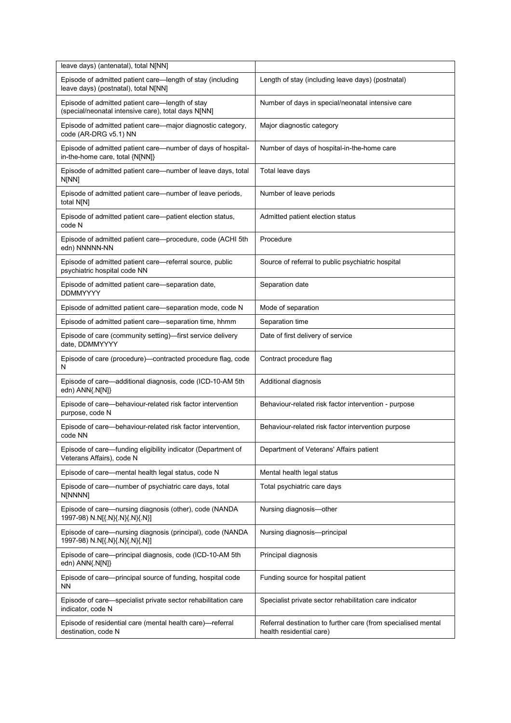| leave days) (antenatal), total N[NN]                                                                   |                                                         |
|--------------------------------------------------------------------------------------------------------|---------------------------------------------------------|
| Episode of admitted patient care-length of stay (including<br>leave days) (postnatal), total N[NN]     | Length of stay (including leave days) (postnatal)       |
| Episode of admitted patient care-length of stay<br>(special/neonatal intensive care), total days N[NN] | Number of days in special/neonatal intensive care       |
| Episode of admitted patient care—major diagnostic category,<br>code (AR-DRG v5.1) NN                   | Major diagnostic category                               |
| Episode of admitted patient care—number of days of hospital-<br>in-the-home care, total {N[NN]}        | Number of days of hospital-in-the-home care             |
| Episode of admitted patient care—number of leave days, total<br>N[NN]                                  | Total leave days                                        |
| Episode of admitted patient care—number of leave periods,<br>total N[N]                                | Number of leave periods                                 |
| Episode of admitted patient care—patient election status,<br>code N                                    | Admitted patient election status                        |
| Episode of admitted patient care—procedure, code (ACHI 5th<br>edn) NNNNN-NN                            | Procedure                                               |
| Episode of admitted patient care-referral source, public<br>psychiatric hospital code NN               | Source of referral to public psychiatric hospital       |
| Episode of admitted patient care—separation date,<br><b>DDMMYYYY</b>                                   | Separation date                                         |
| Episode of admitted patient care—separation mode, code N                                               | Mode of separation                                      |
| Episode of admitted patient care—separation time, hhmm                                                 | Separation time                                         |
| Episode of care (community setting)—first service delivery<br>date, DDMMYYYY                           | Date of first delivery of service                       |
|                                                                                                        |                                                         |
| Episode of care (procedure)—contracted procedure flag, code<br>N                                       | Contract procedure flag                                 |
| Episode of care—additional diagnosis, code (ICD-10-AM 5th<br>edn) ANN{.N[N]}                           | Additional diagnosis                                    |
| Episode of care—behaviour-related risk factor intervention<br>purpose, code N                          | Behaviour-related risk factor intervention - purpose    |
| Episode of care-behaviour-related risk factor intervention,<br>code NN                                 | Behaviour-related risk factor intervention purpose      |
| Episode of care-funding eligibility indicator (Department of<br>Veterans Affairs), code N              | Department of Veterans' Affairs patient                 |
| Episode of care-mental health legal status, code N                                                     | Mental health legal status                              |
| Episode of care-number of psychiatric care days, total<br>N[NNNN]                                      | Total psychiatric care days                             |
| Episode of care—nursing diagnosis (other), code (NANDA<br>1997-98) N.N[{.N}{.N}{.N}{.N}]               | Nursing diagnosis-other                                 |
| Episode of care—nursing diagnosis (principal), code (NANDA<br>1997-98) N.N[{.N}{.N}{.N}{.N}]           | Nursing diagnosis-principal                             |
| Episode of care-principal diagnosis, code (ICD-10-AM 5th<br>edn) ANN{.N[N]}                            | Principal diagnosis                                     |
| Episode of care-principal source of funding, hospital code<br><b>NN</b>                                | Funding source for hospital patient                     |
| Episode of care—specialist private sector rehabilitation care<br>indicator, code N                     | Specialist private sector rehabilitation care indicator |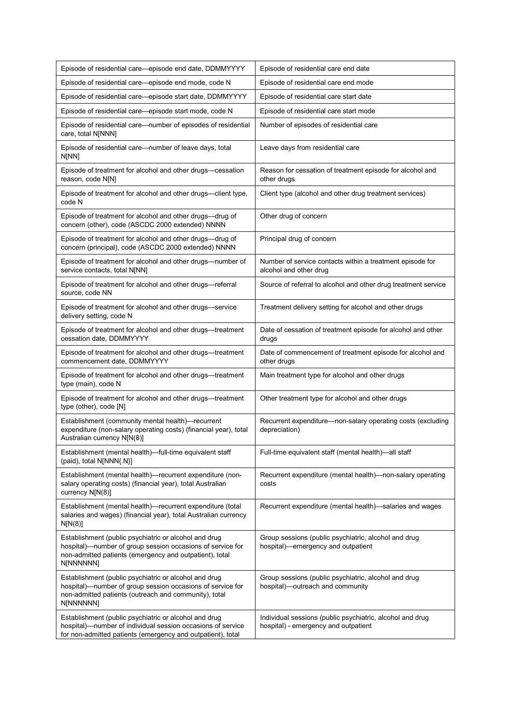| Episode of residential care—episode end date, DDMMYYYY                                                                                                                                      | Episode of residential care end date                                                              |
|---------------------------------------------------------------------------------------------------------------------------------------------------------------------------------------------|---------------------------------------------------------------------------------------------------|
| Episode of residential care-episode end mode, code N                                                                                                                                        | Episode of residential care end mode                                                              |
| Episode of residential care—episode start date, DDMMYYYY                                                                                                                                    | Episode of residential care start date                                                            |
| Episode of residential care-episode start mode, code N                                                                                                                                      | Episode of residential care start mode                                                            |
| Episode of residential care—number of episodes of residential<br>care, total N[NNN]                                                                                                         | Number of episodes of residential care                                                            |
| Episode of residential care—number of leave days, total<br>N[NN]                                                                                                                            | Leave days from residential care                                                                  |
| Episode of treatment for alcohol and other drugs-cessation<br>reason, code N[N]                                                                                                             | Reason for cessation of treatment episode for alcohol and<br>other drugs                          |
| Episode of treatment for alcohol and other drugs—client type,<br>code N                                                                                                                     | Client type (alcohol and other drug treatment services)                                           |
| Episode of treatment for alcohol and other drugs-drug of<br>concern (other), code (ASCDC 2000 extended) NNNN                                                                                | Other drug of concern                                                                             |
| Episode of treatment for alcohol and other drugs-drug of<br>concern (principal), code (ASCDC 2000 extended) NNNN                                                                            | Principal drug of concern                                                                         |
| Episode of treatment for alcohol and other drugs-number of<br>service contacts, total N[NN]                                                                                                 | Number of service contacts within a treatment episode for<br>alcohol and other drug               |
| Episode of treatment for alcohol and other drugs-referral<br>source, code NN                                                                                                                | Source of referral to alcohol and other drug treatment service                                    |
| Episode of treatment for alcohol and other drugs-service<br>delivery setting, code N                                                                                                        | Treatment delivery setting for alcohol and other drugs                                            |
| Episode of treatment for alcohol and other drugs—treatment<br>cessation date, DDMMYYYY                                                                                                      | Date of cessation of treatment episode for alcohol and other<br>drugs                             |
| Episode of treatment for alcohol and other drugs-treatment<br>commencement date, DDMMYYYY                                                                                                   | Date of commencement of treatment episode for alcohol and<br>other drugs                          |
| Episode of treatment for alcohol and other drugs—treatment<br>type (main), code N                                                                                                           | Main treatment type for alcohol and other drugs                                                   |
| Episode of treatment for alcohol and other drugs—treatment<br>type (other), code [N]                                                                                                        | Other treatment type for alcohol and other drugs                                                  |
| Establishment (community mental health)-recurrent<br>expenditure (non-salary operating costs) (financial year), total<br>Australian currency N[N(8)]                                        | Recurrent expenditure-non-salary operating costs (excluding<br>depreciation)                      |
| Establishment (mental health)-full-time equivalent staff<br>(paid), total N[NNN{.N}]                                                                                                        | Full-time equivalent staff (mental health)—all staff                                              |
| Establishment (mental health)-recurrent expenditure (non-<br>salary operating costs) (financial year), total Australian<br>currency N[N(8)]                                                 | Recurrent expenditure (mental health)-non-salary operating<br>costs                               |
| Establishment (mental health)-recurrent expenditure (total<br>salaries and wages) (financial year), total Australian currency<br>N[N(8)]                                                    | Recurrent expenditure (mental health)-salaries and wages                                          |
| Establishment (public psychiatric or alcohol and drug<br>hospital)—number of group session occasions of service for<br>non-admitted patients (emergency and outpatient), total<br>N[NNNNNN] | Group sessions (public psychiatric, alcohol and drug<br>hospital)—emergency and outpatient        |
| Establishment (public psychiatric or alcohol and drug<br>hospital)-number of group session occasions of service for<br>non-admitted patients (outreach and community), total<br>N[NNNNNN]   | Group sessions (public psychiatric, alcohol and drug<br>hospital)-outreach and community          |
| Establishment (public psychiatric or alcohol and drug<br>hospital)—number of individual session occasions of service<br>for non-admitted patients (emergency and outpatient), total         | Individual sessions (public psychiatric, alcohol and drug<br>hospital) - emergency and outpatient |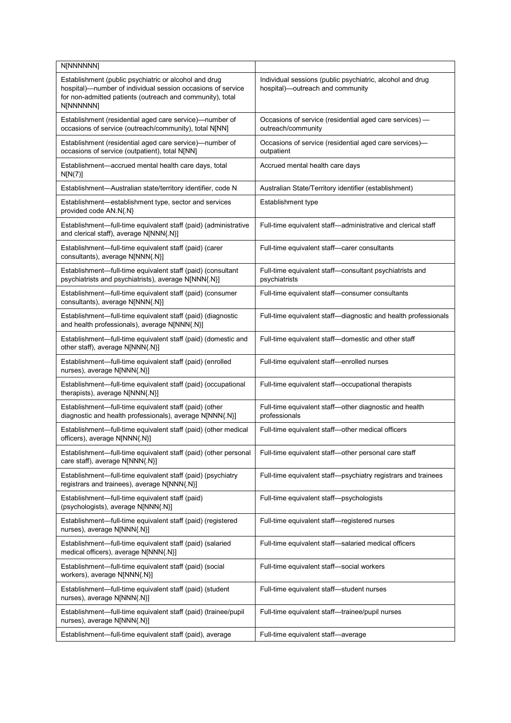| N[NNNNNN]                                                                                                                                                                                      |                                                                                               |
|------------------------------------------------------------------------------------------------------------------------------------------------------------------------------------------------|-----------------------------------------------------------------------------------------------|
| Establishment (public psychiatric or alcohol and drug<br>hospital)-number of individual session occasions of service<br>for non-admitted patients (outreach and community), total<br>N[NNNNNN] | Individual sessions (public psychiatric, alcohol and drug<br>hospital)-outreach and community |
| Establishment (residential aged care service)-number of<br>occasions of service (outreach/community), total N[NN]                                                                              | Occasions of service (residential aged care services) -<br>outreach/community                 |
| Establishment (residential aged care service)-number of<br>occasions of service (outpatient), total N[NN]                                                                                      | Occasions of service (residential aged care services)-<br>outpatient                          |
| Establishment-accrued mental health care days, total<br>N[N(7)]                                                                                                                                | Accrued mental health care days                                                               |
| Establishment-Australian state/territory identifier, code N                                                                                                                                    | Australian State/Territory identifier (establishment)                                         |
| Establishment-establishment type, sector and services<br>provided code AN.N{.N}                                                                                                                | Establishment type                                                                            |
| Establishment-full-time equivalent staff (paid) (administrative<br>and clerical staff), average N[NNN{.N}]                                                                                     | Full-time equivalent staff-administrative and clerical staff                                  |
| Establishment-full-time equivalent staff (paid) (carer<br>consultants), average N[NNN{.N}]                                                                                                     | Full-time equivalent staff-carer consultants                                                  |
| Establishment-full-time equivalent staff (paid) (consultant<br>psychiatrists and psychiatrists), average N[NNN{.N}]                                                                            | Full-time equivalent staff-consultant psychiatrists and<br>psychiatrists                      |
| Establishment-full-time equivalent staff (paid) (consumer<br>consultants), average N[NNN{.N}]                                                                                                  | Full-time equivalent staff-consumer consultants                                               |
| Establishment-full-time equivalent staff (paid) (diagnostic<br>and health professionals), average N[NNN{.N}]                                                                                   | Full-time equivalent staff-diagnostic and health professionals                                |
| Establishment-full-time equivalent staff (paid) (domestic and<br>other staff), average N[NNN{.N}]                                                                                              | Full-time equivalent staff-domestic and other staff                                           |
| Establishment-full-time equivalent staff (paid) (enrolled<br>nurses), average N[NNN{.N}]                                                                                                       | Full-time equivalent staff-enrolled nurses                                                    |
| Establishment-full-time equivalent staff (paid) (occupational<br>therapists), average N[NNN{.N}]                                                                                               | Full-time equivalent staff-occupational therapists                                            |
| Establishment-full-time equivalent staff (paid) (other<br>diagnostic and health professionals), average N[NNN{.N}]                                                                             | Full-time equivalent staff-other diagnostic and health<br>professionals                       |
| Establishment-full-time equivalent staff (paid) (other medical<br>officers), average N[NNN{.N}]                                                                                                | Full-time equivalent staff-other medical officers                                             |
| Establishment-full-time equivalent staff (paid) (other personal<br>care staff), average N[NNN{.N}]                                                                                             | Full-time equivalent staff-other personal care staff                                          |
| Establishment-full-time equivalent staff (paid) (psychiatry<br>registrars and trainees), average N[NNN{.N}]                                                                                    | Full-time equivalent staff-psychiatry registrars and trainees                                 |
| Establishment-full-time equivalent staff (paid)<br>(psychologists), average N[NNN{.N}]                                                                                                         | Full-time equivalent staff-psychologists                                                      |
| Establishment-full-time equivalent staff (paid) (registered<br>nurses), average N[NNN{.N}]                                                                                                     | Full-time equivalent staff-registered nurses                                                  |
| Establishment-full-time equivalent staff (paid) (salaried<br>medical officers), average N[NNN{.N}]                                                                                             | Full-time equivalent staff-salaried medical officers                                          |
| Establishment-full-time equivalent staff (paid) (social<br>workers), average N[NNN{.N}]                                                                                                        | Full-time equivalent staff-social workers                                                     |
| Establishment-full-time equivalent staff (paid) (student<br>nurses), average N[NNN{.N}]                                                                                                        | Full-time equivalent staff-student nurses                                                     |
| Establishment-full-time equivalent staff (paid) (trainee/pupil<br>nurses), average N[NNN{.N}]                                                                                                  | Full-time equivalent staff-trainee/pupil nurses                                               |
| Establishment—full-time equivalent staff (paid), average                                                                                                                                       | Full-time equivalent staff-average                                                            |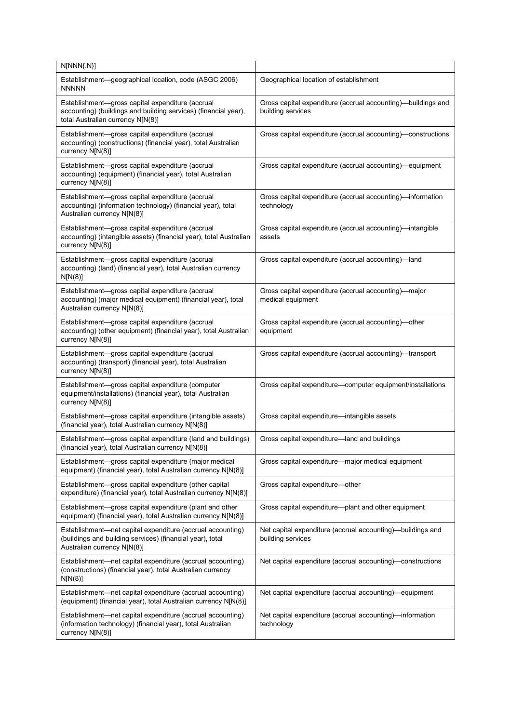| N[NNN{.N}]                                                                                                                                               |                                                                                   |
|----------------------------------------------------------------------------------------------------------------------------------------------------------|-----------------------------------------------------------------------------------|
| Establishment—geographical location, code (ASGC 2006)<br><b>NNNNN</b>                                                                                    | Geographical location of establishment                                            |
| Establishment-gross capital expenditure (accrual<br>accounting) (buildings and building services) (financial year),<br>total Australian currency N[N(8)] | Gross capital expenditure (accrual accounting)—buildings and<br>building services |
| Establishment-gross capital expenditure (accrual<br>accounting) (constructions) (financial year), total Australian<br>currency N[N(8)]                   | Gross capital expenditure (accrual accounting)—constructions                      |
| Establishment-gross capital expenditure (accrual<br>accounting) (equipment) (financial year), total Australian<br>currency N[N(8)]                       | Gross capital expenditure (accrual accounting)-equipment                          |
| Establishment-gross capital expenditure (accrual<br>accounting) (information technology) (financial year), total<br>Australian currency N[N(8)]          | Gross capital expenditure (accrual accounting)—information<br>technology          |
| Establishment-gross capital expenditure (accrual<br>accounting) (intangible assets) (financial year), total Australian<br>currency N[N(8)]               | Gross capital expenditure (accrual accounting)—intangible<br>assets               |
| Establishment-gross capital expenditure (accrual<br>accounting) (land) (financial year), total Australian currency<br>N[N(8)]                            | Gross capital expenditure (accrual accounting)—land                               |
| Establishment-gross capital expenditure (accrual<br>accounting) (major medical equipment) (financial year), total<br>Australian currency N[N(8)]         | Gross capital expenditure (accrual accounting)—major<br>medical equipment         |
| Establishment-gross capital expenditure (accrual<br>accounting) (other equipment) (financial year), total Australian<br>currency N[N(8)]                 | Gross capital expenditure (accrual accounting)—other<br>equipment                 |
| Establishment-gross capital expenditure (accrual<br>accounting) (transport) (financial year), total Australian<br>currency N[N(8)]                       | Gross capital expenditure (accrual accounting)-transport                          |
| Establishment-gross capital expenditure (computer<br>equipment/installations) (financial year), total Australian<br>currency N[N(8)]                     | Gross capital expenditure-computer equipment/installations                        |
| Establishment-gross capital expenditure (intangible assets)<br>(financial year), total Australian currency N[N(8)]                                       | Gross capital expenditure-intangible assets                                       |
| Establishment-gross capital expenditure (land and buildings)<br>(financial year), total Australian currency N[N(8)]                                      | Gross capital expenditure-land and buildings                                      |
| Establishment-gross capital expenditure (major medical<br>equipment) (financial year), total Australian currency N[N(8)]                                 | Gross capital expenditure-major medical equipment                                 |
| Establishment-gross capital expenditure (other capital<br>expenditure) (financial year), total Australian currency N[N(8)]                               | Gross capital expenditure-other                                                   |
| Establishment—gross capital expenditure (plant and other<br>equipment) (financial year), total Australian currency N[N(8)]                               | Gross capital expenditure—plant and other equipment                               |
| Establishment-net capital expenditure (accrual accounting)<br>(buildings and building services) (financial year), total<br>Australian currency N[N(8)]   | Net capital expenditure (accrual accounting)—buildings and<br>building services   |
| Establishment-net capital expenditure (accrual accounting)<br>(constructions) (financial year), total Australian currency<br>N[N(8)]                     | Net capital expenditure (accrual accounting)-constructions                        |
| Establishment-net capital expenditure (accrual accounting)<br>(equipment) (financial year), total Australian currency N[N(8)]                            | Net capital expenditure (accrual accounting)—equipment                            |
| Establishment—net capital expenditure (accrual accounting)<br>(information technology) (financial year), total Australian<br>currency N[N(8)]            | Net capital expenditure (accrual accounting)—information<br>technology            |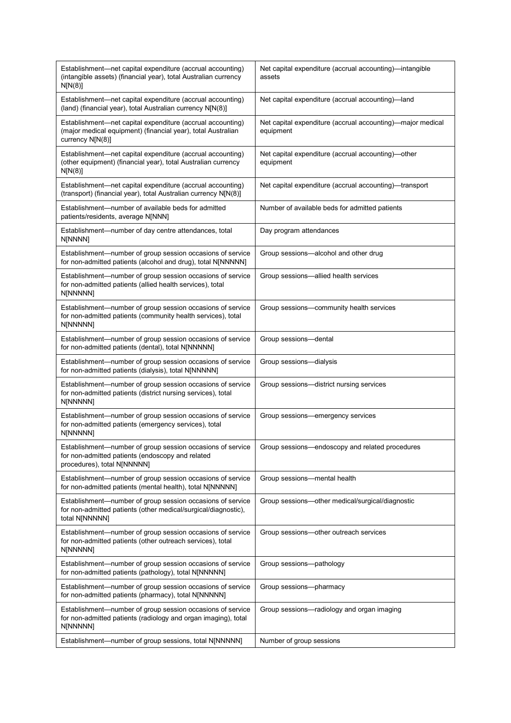| Establishment-net capital expenditure (accrual accounting)<br>(intangible assets) (financial year), total Australian currency<br>N[N(8)]       | Net capital expenditure (accrual accounting)-intangible<br>assets       |
|------------------------------------------------------------------------------------------------------------------------------------------------|-------------------------------------------------------------------------|
| Establishment-net capital expenditure (accrual accounting)<br>(land) (financial year), total Australian currency N[N(8)]                       | Net capital expenditure (accrual accounting)-land                       |
| Establishment-net capital expenditure (accrual accounting)<br>(major medical equipment) (financial year), total Australian<br>currency N[N(8)] | Net capital expenditure (accrual accounting)—major medical<br>equipment |
| Establishment-net capital expenditure (accrual accounting)<br>(other equipment) (financial year), total Australian currency<br>N[N(8)]         | Net capital expenditure (accrual accounting)—other<br>equipment         |
| Establishment-net capital expenditure (accrual accounting)<br>(transport) (financial year), total Australian currency N[N(8)]                  | Net capital expenditure (accrual accounting)-transport                  |
| Establishment—number of available beds for admitted<br>patients/residents, average N[NNN]                                                      | Number of available beds for admitted patients                          |
| Establishment-number of day centre attendances, total<br>N[NNNN]                                                                               | Day program attendances                                                 |
| Establishment-number of group session occasions of service<br>for non-admitted patients (alcohol and drug), total N[NNNNN]                     | Group sessions-alcohol and other drug                                   |
| Establishment-number of group session occasions of service<br>for non-admitted patients (allied health services), total<br>N[NNNNN]            | Group sessions-allied health services                                   |
| Establishment-number of group session occasions of service<br>for non-admitted patients (community health services), total<br>N[NNNNN]         | Group sessions-community health services                                |
| Establishment-number of group session occasions of service<br>for non-admitted patients (dental), total N[NNNNN]                               | Group sessions-dental                                                   |
| Establishment-number of group session occasions of service<br>for non-admitted patients (dialysis), total N[NNNNN]                             | Group sessions-dialysis                                                 |
| Establishment-number of group session occasions of service<br>for non-admitted patients (district nursing services), total<br>N[NNNNN]         | Group sessions-district nursing services                                |
| Establishment-number of group session occasions of service<br>for non-admitted patients (emergency services), total<br>N[NNNNN]                | Group sessions-emergency services                                       |
| Establishment-number of group session occasions of service<br>for non-admitted patients (endoscopy and related<br>procedures), total N[NNNNN]  | Group sessions-endoscopy and related procedures                         |
| Establishment-number of group session occasions of service<br>for non-admitted patients (mental health), total N[NNNNN]                        | Group sessions-mental health                                            |
| Establishment-number of group session occasions of service<br>for non-admitted patients (other medical/surgical/diagnostic),<br>total N[NNNNN] | Group sessions-other medical/surgical/diagnostic                        |
| Establishment-number of group session occasions of service<br>for non-admitted patients (other outreach services), total<br>N[NNNNN]           | Group sessions-other outreach services                                  |
| Establishment-number of group session occasions of service<br>for non-admitted patients (pathology), total N[NNNNN]                            | Group sessions-pathology                                                |
| Establishment-number of group session occasions of service<br>for non-admitted patients (pharmacy), total N[NNNNN]                             | Group sessions-pharmacy                                                 |
| Establishment-number of group session occasions of service<br>for non-admitted patients (radiology and organ imaging), total<br>N[NNNNN]       | Group sessions-radiology and organ imaging                              |
| Establishment-number of group sessions, total N[NNNNN]                                                                                         | Number of group sessions                                                |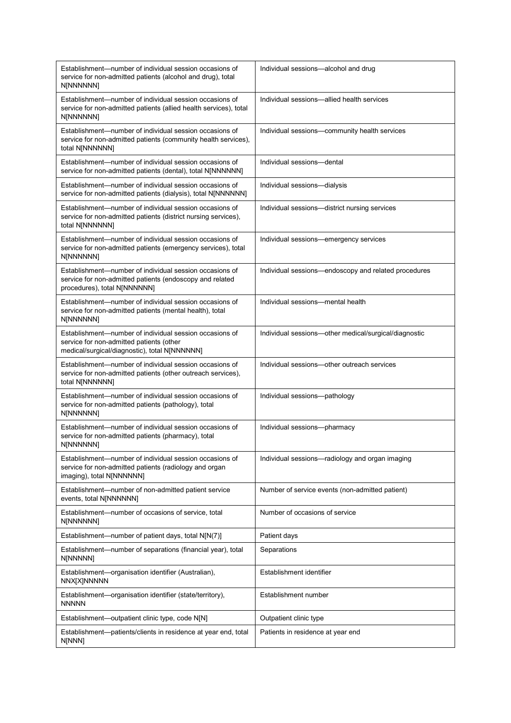| Establishment—number of individual session occasions of<br>service for non-admitted patients (alcohol and drug), total<br>N[NNNNNN]                  | Individual sessions—alcohol and drug                  |
|------------------------------------------------------------------------------------------------------------------------------------------------------|-------------------------------------------------------|
| Establishment-number of individual session occasions of<br>service for non-admitted patients (allied health services), total<br>N[NNNNNN]            | Individual sessions—allied health services            |
| Establishment-number of individual session occasions of<br>service for non-admitted patients (community health services),<br>total N[NNNNNN]         | Individual sessions-community health services         |
| Establishment—number of individual session occasions of<br>service for non-admitted patients (dental), total N[NNNNNN]                               | Individual sessions-dental                            |
| Establishment—number of individual session occasions of<br>service for non-admitted patients (dialysis), total N[NNNNNN]                             | Individual sessions-dialysis                          |
| Establishment-number of individual session occasions of<br>service for non-admitted patients (district nursing services),<br>total N[NNNNNN]         | Individual sessions-district nursing services         |
| Establishment—number of individual session occasions of<br>service for non-admitted patients (emergency services), total<br>N[NNNNNN]                | Individual sessions-emergency services                |
| Establishment-number of individual session occasions of<br>service for non-admitted patients (endoscopy and related<br>procedures), total N[NNNNNN]  | Individual sessions-endoscopy and related procedures  |
| Establishment-number of individual session occasions of<br>service for non-admitted patients (mental health), total<br>N[NNNNNN]                     | Individual sessions-mental health                     |
| Establishment-number of individual session occasions of<br>service for non-admitted patients (other<br>medical/surgical/diagnostic), total N[NNNNNN] | Individual sessions-other medical/surgical/diagnostic |
| Establishment-number of individual session occasions of<br>service for non-admitted patients (other outreach services),<br>total N[NNNNNN]           | Individual sessions-other outreach services           |
| Establishment-number of individual session occasions of<br>service for non-admitted patients (pathology), total<br>N[NNNNNN]                         | Individual sessions-pathology                         |
| Establishment—number of individual session occasions of<br>service for non-admitted patients (pharmacy), total<br>N[NNNNNN]                          | Individual sessions-pharmacy                          |
| Establishment—number of individual session occasions of<br>service for non-admitted patients (radiology and organ<br>imaging), total N[NNNNNN]       | Individual sessions-radiology and organ imaging       |
| Establishment-number of non-admitted patient service<br>events, total N[NNNNNN]                                                                      | Number of service events (non-admitted patient)       |
| Establishment—number of occasions of service, total<br>N[NNNNNN]                                                                                     | Number of occasions of service                        |
| Establishment—number of patient days, total N[N(7)]                                                                                                  | Patient days                                          |
| Establishment—number of separations (financial year), total<br>N[NNNNN]                                                                              | Separations                                           |
| Establishment-organisation identifier (Australian),<br>NNX[X]NNNNN                                                                                   | Establishment identifier                              |
| Establishment-organisation identifier (state/territory),<br><b>NNNNN</b>                                                                             | Establishment number                                  |
| Establishment-outpatient clinic type, code N[N]                                                                                                      | Outpatient clinic type                                |
| Establishment-patients/clients in residence at year end, total<br>N[NNN]                                                                             | Patients in residence at year end                     |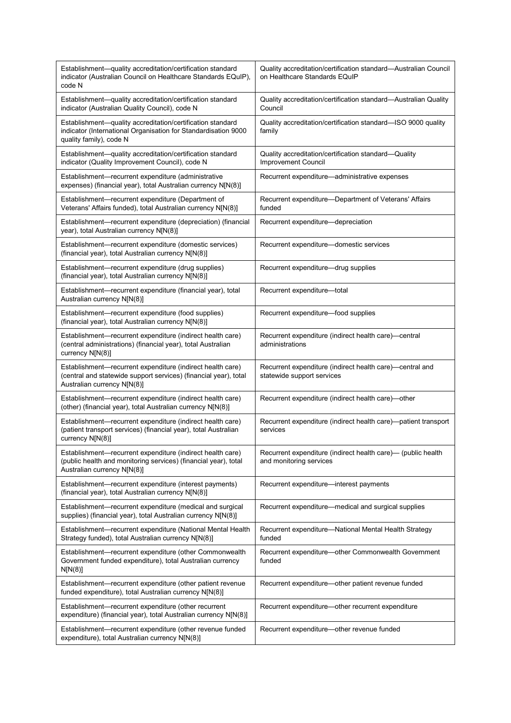| Establishment-quality accreditation/certification standard<br>indicator (Australian Council on Healthcare Standards EQuIP),<br>code N                         | Quality accreditation/certification standard-Australian Council<br>on Healthcare Standards EQuIP |
|---------------------------------------------------------------------------------------------------------------------------------------------------------------|--------------------------------------------------------------------------------------------------|
| Establishment-quality accreditation/certification standard<br>indicator (Australian Quality Council), code N                                                  | Quality accreditation/certification standard—Australian Quality<br>Council                       |
| Establishment-quality accreditation/certification standard<br>indicator (International Organisation for Standardisation 9000<br>quality family), code N       | Quality accreditation/certification standard—ISO 9000 quality<br>family                          |
| Establishment-quality accreditation/certification standard<br>indicator (Quality Improvement Council), code N                                                 | Quality accreditation/certification standard-Quality<br>Improvement Council                      |
| Establishment-recurrent expenditure (administrative<br>expenses) (financial year), total Australian currency N[N(8)]                                          | Recurrent expenditure-administrative expenses                                                    |
| Establishment-recurrent expenditure (Department of<br>Veterans' Affairs funded), total Australian currency N[N(8)]                                            | Recurrent expenditure-Department of Veterans' Affairs<br>funded                                  |
| Establishment-recurrent expenditure (depreciation) (financial<br>year), total Australian currency N[N(8)]                                                     | Recurrent expenditure-depreciation                                                               |
| Establishment-recurrent expenditure (domestic services)<br>(financial year), total Australian currency N[N(8)]                                                | Recurrent expenditure-domestic services                                                          |
| Establishment—recurrent expenditure (drug supplies)<br>(financial year), total Australian currency N[N(8)]                                                    | Recurrent expenditure-drug supplies                                                              |
| Establishment-recurrent expenditure (financial year), total<br>Australian currency N[N(8)]                                                                    | Recurrent expenditure-total                                                                      |
| Establishment-recurrent expenditure (food supplies)<br>(financial year), total Australian currency N[N(8)]                                                    | Recurrent expenditure-food supplies                                                              |
| Establishment-recurrent expenditure (indirect health care)<br>(central administrations) (financial year), total Australian<br>currency N[N(8)]                | Recurrent expenditure (indirect health care)—central<br>administrations                          |
| Establishment-recurrent expenditure (indirect health care)<br>(central and statewide support services) (financial year), total<br>Australian currency N[N(8)] | Recurrent expenditure (indirect health care)-central and<br>statewide support services           |
| Establishment-recurrent expenditure (indirect health care)<br>(other) (financial year), total Australian currency N[N(8)]                                     | Recurrent expenditure (indirect health care)-other                                               |
| Establishment-recurrent expenditure (indirect health care)<br>(patient transport services) (financial year), total Australian<br>currency N[N(8)]             | Recurrent expenditure (indirect health care)-patient transport<br>services                       |
| Establishment-recurrent expenditure (indirect health care)<br>(public health and monitoring services) (financial year), total<br>Australian currency N[N(8)]  | Recurrent expenditure (indirect health care)— (public health<br>and monitoring services          |
| Establishment-recurrent expenditure (interest payments)<br>(financial year), total Australian currency N[N(8)]                                                | Recurrent expenditure-interest payments                                                          |
| Establishment-recurrent expenditure (medical and surgical<br>supplies) (financial year), total Australian currency N[N(8)]                                    | Recurrent expenditure-medical and surgical supplies                                              |
| Establishment-recurrent expenditure (National Mental Health<br>Strategy funded), total Australian currency N[N(8)]                                            | Recurrent expenditure-National Mental Health Strategy<br>funded                                  |
| Establishment-recurrent expenditure (other Commonwealth<br>Government funded expenditure), total Australian currency<br>N[N(8)]                               | Recurrent expenditure-other Commonwealth Government<br>funded                                    |
| Establishment-recurrent expenditure (other patient revenue<br>funded expenditure), total Australian currency N[N(8)]                                          | Recurrent expenditure-other patient revenue funded                                               |
| Establishment-recurrent expenditure (other recurrent<br>expenditure) (financial year), total Australian currency N[N(8)]                                      | Recurrent expenditure-other recurrent expenditure                                                |
| Establishment-recurrent expenditure (other revenue funded<br>expenditure), total Australian currency N[N(8)]                                                  | Recurrent expenditure-other revenue funded                                                       |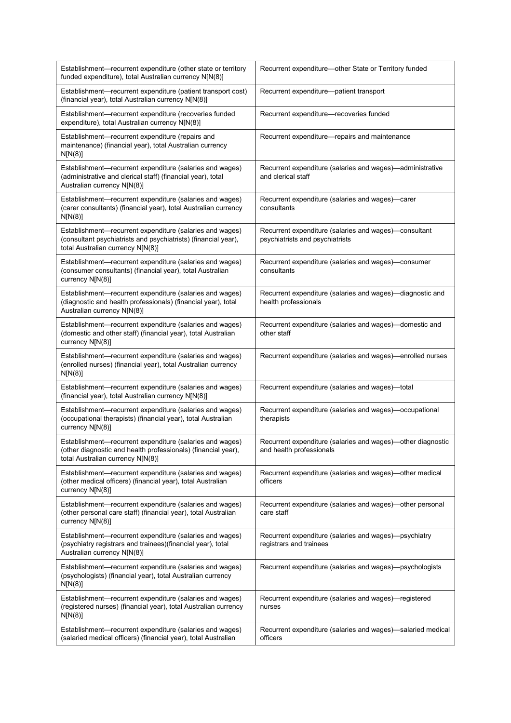| Establishment-recurrent expenditure (other state or territory<br>funded expenditure), total Australian currency N[N(8)]                                         | Recurrent expenditure-other State or Territory funded                                    |
|-----------------------------------------------------------------------------------------------------------------------------------------------------------------|------------------------------------------------------------------------------------------|
| Establishment-recurrent expenditure (patient transport cost)<br>(financial year), total Australian currency N[N(8)]                                             | Recurrent expenditure-patient transport                                                  |
| Establishment-recurrent expenditure (recoveries funded<br>expenditure), total Australian currency N[N(8)]                                                       | Recurrent expenditure-recoveries funded                                                  |
| Establishment-recurrent expenditure (repairs and<br>maintenance) (financial year), total Australian currency<br>N[N(8)]                                         | Recurrent expenditure—repairs and maintenance                                            |
| Establishment-recurrent expenditure (salaries and wages)<br>(administrative and clerical staff) (financial year), total<br>Australian currency N[N(8)]          | Recurrent expenditure (salaries and wages)—administrative<br>and clerical staff          |
| Establishment-recurrent expenditure (salaries and wages)<br>(carer consultants) (financial year), total Australian currency<br>N[N(8)]                          | Recurrent expenditure (salaries and wages)—carer<br>consultants                          |
| Establishment-recurrent expenditure (salaries and wages)<br>(consultant psychiatrists and psychiatrists) (financial year),<br>total Australian currency N[N(8)] | Recurrent expenditure (salaries and wages)-consultant<br>psychiatrists and psychiatrists |
| Establishment-recurrent expenditure (salaries and wages)<br>(consumer consultants) (financial year), total Australian<br>currency N[N(8)]                       | Recurrent expenditure (salaries and wages)-consumer<br>consultants                       |
| Establishment-recurrent expenditure (salaries and wages)<br>(diagnostic and health professionals) (financial year), total<br>Australian currency N[N(8)]        | Recurrent expenditure (salaries and wages)-diagnostic and<br>health professionals        |
| Establishment-recurrent expenditure (salaries and wages)<br>(domestic and other staff) (financial year), total Australian<br>currency N[N(8)]                   | Recurrent expenditure (salaries and wages)-domestic and<br>other staff                   |
| Establishment-recurrent expenditure (salaries and wages)<br>(enrolled nurses) (financial year), total Australian currency<br>N[N(8)]                            | Recurrent expenditure (salaries and wages)—enrolled nurses                               |
| Establishment-recurrent expenditure (salaries and wages)<br>(financial year), total Australian currency N[N(8)]                                                 | Recurrent expenditure (salaries and wages)-total                                         |
| Establishment-recurrent expenditure (salaries and wages)<br>(occupational therapists) (financial year), total Australian<br>currency N[N(8)]                    | Recurrent expenditure (salaries and wages)—occupational<br>therapists                    |
| Establishment-recurrent expenditure (salaries and wages)<br>(other diagnostic and health professionals) (financial year),<br>total Australian currency N[N(8)]  | Recurrent expenditure (salaries and wages)-other diagnostic<br>and health professionals  |
| Establishment-recurrent expenditure (salaries and wages)<br>(other medical officers) (financial year), total Australian<br>currency N[N(8)]                     | Recurrent expenditure (salaries and wages)—other medical<br>officers                     |
| Establishment-recurrent expenditure (salaries and wages)<br>(other personal care staff) (financial year), total Australian<br>currency N[N(8)]                  | Recurrent expenditure (salaries and wages)—other personal<br>care staff                  |
| Establishment-recurrent expenditure (salaries and wages)<br>(psychiatry registrars and trainees) (financial year), total<br>Australian currency N[N(8)]         | Recurrent expenditure (salaries and wages)—psychiatry<br>registrars and trainees         |
| Establishment-recurrent expenditure (salaries and wages)<br>(psychologists) (financial year), total Australian currency<br>N[N(8)]                              | Recurrent expenditure (salaries and wages)-psychologists                                 |
| Establishment-recurrent expenditure (salaries and wages)<br>(registered nurses) (financial year), total Australian currency<br>N[N(8)]                          | Recurrent expenditure (salaries and wages)—registered<br>nurses                          |
| Establishment-recurrent expenditure (salaries and wages)<br>(salaried medical officers) (financial year), total Australian                                      | Recurrent expenditure (salaries and wages)—salaried medical<br>officers                  |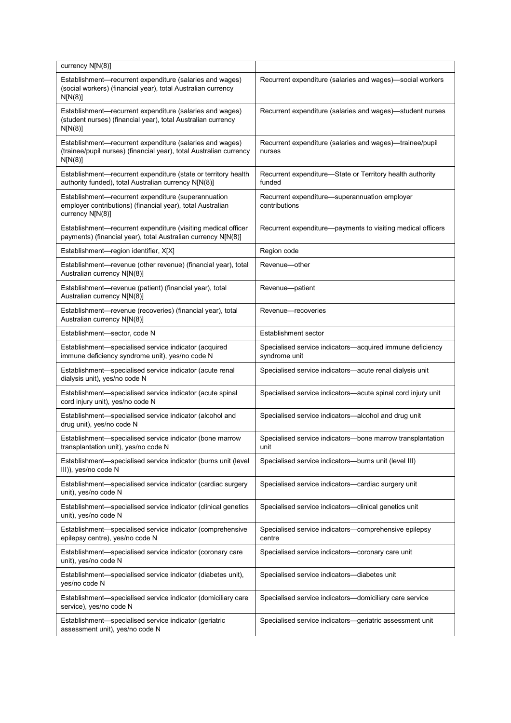| currency $N[N(8)]$                                                                                                                        |                                                                            |
|-------------------------------------------------------------------------------------------------------------------------------------------|----------------------------------------------------------------------------|
| Establishment-recurrent expenditure (salaries and wages)<br>(social workers) (financial year), total Australian currency<br>N[N(8)]       | Recurrent expenditure (salaries and wages)-social workers                  |
| Establishment-recurrent expenditure (salaries and wages)<br>(student nurses) (financial year), total Australian currency<br>N[N(8)]       | Recurrent expenditure (salaries and wages)-student nurses                  |
| Establishment—recurrent expenditure (salaries and wages)<br>(trainee/pupil nurses) (financial year), total Australian currency<br>N[N(8)] | Recurrent expenditure (salaries and wages)—trainee/pupil<br>nurses         |
| Establishment-recurrent expenditure (state or territory health<br>authority funded), total Australian currency N[N(8)]                    | Recurrent expenditure—State or Territory health authority<br>funded        |
| Establishment-recurrent expenditure (superannuation<br>employer contributions) (financial year), total Australian<br>currency N[N(8)]     | Recurrent expenditure-superannuation employer<br>contributions             |
| Establishment-recurrent expenditure (visiting medical officer<br>payments) (financial year), total Australian currency N[N(8)]            | Recurrent expenditure—payments to visiting medical officers                |
| Establishment-region identifier, X[X]                                                                                                     | Region code                                                                |
| Establishment—revenue (other revenue) (financial year), total<br>Australian currency N[N(8)]                                              | Revenue-other                                                              |
| Establishment—revenue (patient) (financial year), total<br>Australian currency N[N(8)]                                                    | Revenue-patient                                                            |
| Establishment—revenue (recoveries) (financial year), total<br>Australian currency N[N(8)]                                                 | Revenue-recoveries                                                         |
| Establishment-sector, code N                                                                                                              | <b>Establishment sector</b>                                                |
| Establishment-specialised service indicator (acquired<br>immune deficiency syndrome unit), yes/no code N                                  | Specialised service indicators—acquired immune deficiency<br>syndrome unit |
| Establishment-specialised service indicator (acute renal<br>dialysis unit), yes/no code N                                                 | Specialised service indicators-acute renal dialysis unit                   |
| Establishment-specialised service indicator (acute spinal<br>cord injury unit), yes/no code N                                             | Specialised service indicators—acute spinal cord injury unit               |
| Establishment-specialised service indicator (alcohol and<br>drug unit), yes/no code N                                                     | Specialised service indicators-alcohol and drug unit                       |
| Establishment-specialised service indicator (bone marrow<br>transplantation unit), yes/no code N                                          | Specialised service indicators-bone marrow transplantation<br>unit         |
| Establishment-specialised service indicator (burns unit (level<br>III)), yes/no code N                                                    | Specialised service indicators-burns unit (level III)                      |
| Establishment-specialised service indicator (cardiac surgery<br>unit), yes/no code N                                                      | Specialised service indicators-cardiac surgery unit                        |
| Establishment-specialised service indicator (clinical genetics<br>unit), yes/no code N                                                    | Specialised service indicators-clinical genetics unit                      |
| Establishment-specialised service indicator (comprehensive<br>epilepsy centre), yes/no code N                                             | Specialised service indicators-comprehensive epilepsy<br>centre            |
| Establishment-specialised service indicator (coronary care<br>unit), yes/no code N                                                        | Specialised service indicators-coronary care unit                          |
| Establishment-specialised service indicator (diabetes unit),<br>yes/no code N                                                             | Specialised service indicators-diabetes unit                               |
| Establishment-specialised service indicator (domiciliary care<br>service), yes/no code N                                                  | Specialised service indicators-domiciliary care service                    |
| Establishment-specialised service indicator (geriatric<br>assessment unit), yes/no code N                                                 | Specialised service indicators—geriatric assessment unit                   |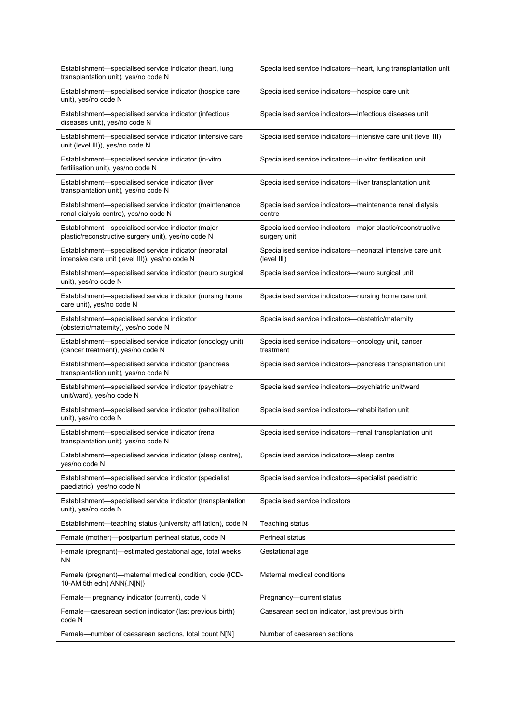| Establishment—specialised service indicator (heart, lung<br>transplantation unit), yes/no code N          | Specialised service indicators—heart, lung transplantation unit             |
|-----------------------------------------------------------------------------------------------------------|-----------------------------------------------------------------------------|
| Establishment-specialised service indicator (hospice care<br>unit), yes/no code N                         | Specialised service indicators-hospice care unit                            |
| Establishment-specialised service indicator (infectious<br>diseases unit), yes/no code N                  | Specialised service indicators-infectious diseases unit                     |
| Establishment-specialised service indicator (intensive care<br>unit (level III)), yes/no code N           | Specialised service indicators-intensive care unit (level III)              |
| Establishment-specialised service indicator (in-vitro<br>fertilisation unit), yes/no code N               | Specialised service indicators-in-vitro fertilisation unit                  |
| Establishment-specialised service indicator (liver<br>transplantation unit), yes/no code N                | Specialised service indicators-liver transplantation unit                   |
| Establishment-specialised service indicator (maintenance<br>renal dialysis centre), yes/no code N         | Specialised service indicators—maintenance renal dialysis<br>centre         |
| Establishment-specialised service indicator (major<br>plastic/reconstructive surgery unit), yes/no code N | Specialised service indicators—major plastic/reconstructive<br>surgery unit |
| Establishment-specialised service indicator (neonatal<br>intensive care unit (level III)), yes/no code N  | Specialised service indicators-neonatal intensive care unit<br>(level III)  |
| Establishment-specialised service indicator (neuro surgical<br>unit), yes/no code N                       | Specialised service indicators-neuro surgical unit                          |
| Establishment-specialised service indicator (nursing home<br>care unit), yes/no code N                    | Specialised service indicators—nursing home care unit                       |
| Establishment-specialised service indicator<br>(obstetric/maternity), yes/no code N                       | Specialised service indicators-obstetric/maternity                          |
| Establishment—specialised service indicator (oncology unit)<br>(cancer treatment), yes/no code N          | Specialised service indicators—oncology unit, cancer<br>treatment           |
| Establishment-specialised service indicator (pancreas<br>transplantation unit), yes/no code N             | Specialised service indicators-pancreas transplantation unit                |
| Establishment-specialised service indicator (psychiatric<br>unit/ward), yes/no code N                     | Specialised service indicators-psychiatric unit/ward                        |
| Establishment-specialised service indicator (rehabilitation<br>unit), yes/no code N                       | Specialised service indicators-rehabilitation unit                          |
| Establishment-specialised service indicator (renal<br>transplantation unit), yes/no code N                | Specialised service indicators-renal transplantation unit                   |
| Establishment—specialised service indicator (sleep centre),<br>yes/no code N                              | Specialised service indicators-sleep centre                                 |
| Establishment-specialised service indicator (specialist<br>paediatric), yes/no code N                     | Specialised service indicators-specialist paediatric                        |
| Establishment-specialised service indicator (transplantation<br>unit), yes/no code N                      | Specialised service indicators                                              |
| Establishment-teaching status (university affiliation), code N                                            | Teaching status                                                             |
| Female (mother)-postpartum perineal status, code N                                                        | Perineal status                                                             |
| Female (pregnant)—estimated gestational age, total weeks<br>ΝN                                            | Gestational age                                                             |
| Female (pregnant)-maternal medical condition, code (ICD-<br>10-AM 5th edn) ANN{.N[N]}                     | Maternal medical conditions                                                 |
| Female- pregnancy indicator (current), code N                                                             | Pregnancy-current status                                                    |
| Female-caesarean section indicator (last previous birth)<br>code N                                        | Caesarean section indicator, last previous birth                            |
| Female—number of caesarean sections, total count N[N]                                                     | Number of caesarean sections                                                |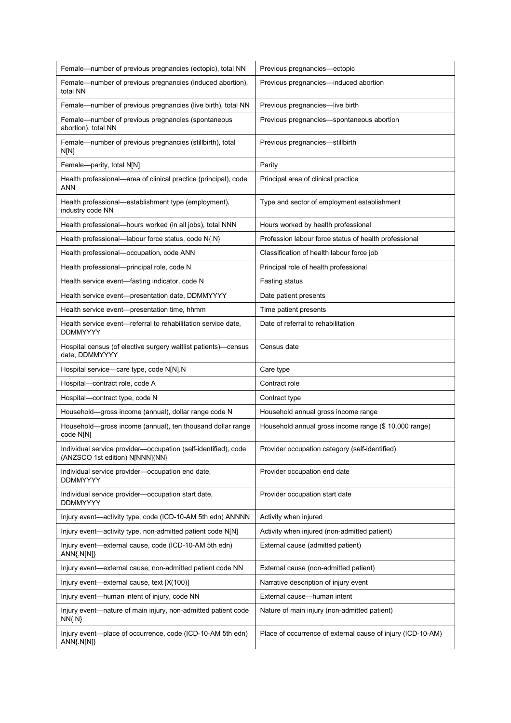| Female—number of previous pregnancies (ectopic), total NN                                         | Previous pregnancies—ectopic                                |
|---------------------------------------------------------------------------------------------------|-------------------------------------------------------------|
| Female-number of previous pregnancies (induced abortion),<br>total NN                             | Previous pregnancies—induced abortion                       |
| Female-number of previous pregnancies (live birth), total NN                                      | Previous pregnancies-live birth                             |
| Female—number of previous pregnancies (spontaneous<br>abortion), total NN                         | Previous pregnancies-spontaneous abortion                   |
| Female-number of previous pregnancies (stillbirth), total<br>N[N]                                 | Previous pregnancies-stillbirth                             |
| Female-parity, total N[N]                                                                         | Parity                                                      |
| Health professional-area of clinical practice (principal), code<br>ANN                            | Principal area of clinical practice                         |
| Health professional—establishment type (employment),<br>industry code NN                          | Type and sector of employment establishment                 |
| Health professional-hours worked (in all jobs), total NNN                                         | Hours worked by health professional                         |
| Health professional—labour force status, code N{.N}                                               | Profession labour force status of health professional       |
| Health professional-occupation, code ANN                                                          | Classification of health labour force job                   |
| Health professional-principal role, code N                                                        | Principal role of health professional                       |
| Health service event-fasting indicator, code N                                                    | Fasting status                                              |
| Health service event-presentation date, DDMMYYYY                                                  | Date patient presents                                       |
| Health service event-presentation time, hhmm                                                      | Time patient presents                                       |
| Health service event-referral to rehabilitation service date,<br><b>DDMMYYYY</b>                  | Date of referral to rehabilitation                          |
| Hospital census (of elective surgery waitlist patients)—census<br>date, DDMMYYYY                  | Census date                                                 |
| Hospital service-care type, code N[N].N                                                           | Care type                                                   |
| Hospital-contract role, code A                                                                    | Contract role                                               |
| Hospital-contract type, code N                                                                    | Contract type                                               |
| Household-gross income (annual), dollar range code N                                              | Household annual gross income range                         |
| Household-gross income (annual), ten thousand dollar range<br>code N[N]                           | Household annual gross income range (\$ 10,000 range)       |
| Individual service provider-occupation (self-identified), code<br>(ANZSCO 1st edition) N[NNN]{NN} | Provider occupation category (self-identified)              |
| Individual service provider-occupation end date,<br><b>DDMMYYYY</b>                               | Provider occupation end date                                |
| Individual service provider-occupation start date,<br><b>DDMMYYYY</b>                             | Provider occupation start date                              |
| Injury event-activity type, code (ICD-10-AM 5th edn) ANNNN                                        | Activity when injured                                       |
| Injury event-activity type, non-admitted patient code N[N]                                        | Activity when injured (non-admitted patient)                |
| Injury event-external cause, code (ICD-10-AM 5th edn)<br>ANN{.N[N]}                               | External cause (admitted patient)                           |
| Injury event—external cause, non-admitted patient code NN                                         | External cause (non-admitted patient)                       |
| Injury event—external cause, text [X(100)]                                                        | Narrative description of injury event                       |
| Injury event—human intent of injury, code NN                                                      | External cause-human intent                                 |
| Injury event-nature of main injury, non-admitted patient code<br>$NN{N}$                          | Nature of main injury (non-admitted patient)                |
| Injury event—place of occurrence, code (ICD-10-AM 5th edn)<br>$ANN{N[N]}$                         | Place of occurrence of external cause of injury (ICD-10-AM) |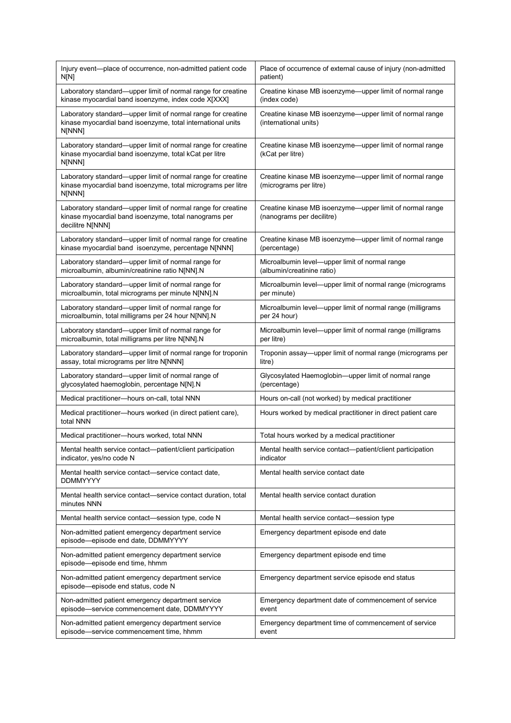| Injury event-place of occurrence, non-admitted patient code<br>N[N]                                                                       | Place of occurrence of external cause of injury (non-admitted<br>patient)             |
|-------------------------------------------------------------------------------------------------------------------------------------------|---------------------------------------------------------------------------------------|
| Laboratory standard-upper limit of normal range for creatine<br>kinase myocardial band isoenzyme, index code X[XXX]                       | Creatine kinase MB isoenzyme-upper limit of normal range<br>(index code)              |
| Laboratory standard-upper limit of normal range for creatine<br>kinase myocardial band isoenzyme, total international units<br>N[NNN]     | Creatine kinase MB isoenzyme—upper limit of normal range<br>(international units)     |
| Laboratory standard-upper limit of normal range for creatine<br>kinase myocardial band isoenzyme, total kCat per litre<br>N[NNN]          | Creatine kinase MB isoenzyme-upper limit of normal range<br>(kCat per litre)          |
| Laboratory standard-upper limit of normal range for creatine<br>kinase myocardial band isoenzyme, total micrograms per litre<br>N[NNN]    | Creatine kinase MB isoenzyme-upper limit of normal range<br>(micrograms per litre)    |
| Laboratory standard-upper limit of normal range for creatine<br>kinase myocardial band isoenzyme, total nanograms per<br>decilitre N[NNN] | Creatine kinase MB isoenzyme-upper limit of normal range<br>(nanograms per decilitre) |
| Laboratory standard-upper limit of normal range for creatine<br>kinase myocardial band isoenzyme, percentage N[NNN]                       | Creatine kinase MB isoenzyme-upper limit of normal range<br>(percentage)              |
| Laboratory standard-upper limit of normal range for<br>microalbumin, albumin/creatinine ratio N[NN].N                                     | Microalbumin level—upper limit of normal range<br>(albumin/creatinine ratio)          |
| Laboratory standard-upper limit of normal range for<br>microalbumin, total micrograms per minute N[NN].N                                  | Microalbumin level-upper limit of normal range (micrograms<br>per minute)             |
| Laboratory standard-upper limit of normal range for<br>microalbumin, total milligrams per 24 hour N[NN].N                                 | Microalbumin level-upper limit of normal range (milligrams<br>per 24 hour)            |
| Laboratory standard-upper limit of normal range for<br>microalbumin, total milligrams per litre N[NN].N                                   | Microalbumin level—upper limit of normal range (milligrams<br>per litre)              |
| Laboratory standard-upper limit of normal range for troponin<br>assay, total micrograms per litre N[NNN]                                  | Troponin assay—upper limit of normal range (micrograms per<br>litre)                  |
| Laboratory standard—upper limit of normal range of<br>glycosylated haemoglobin, percentage N[N].N                                         | Glycosylated Haemoglobin—upper limit of normal range<br>(percentage)                  |
| Medical practitioner-hours on-call, total NNN                                                                                             | Hours on-call (not worked) by medical practitioner                                    |
| Medical practitioner-hours worked (in direct patient care),<br>total NNN                                                                  | Hours worked by medical practitioner in direct patient care                           |
| Medical practitioner-hours worked, total NNN                                                                                              | Total hours worked by a medical practitioner                                          |
| Mental health service contact—patient/client participation<br>indicator, yes/no code N                                                    | Mental health service contact—patient/client participation<br>indicator               |
| Mental health service contact—service contact date,<br><b>DDMMYYYY</b>                                                                    | Mental health service contact date                                                    |
| Mental health service contact—service contact duration, total<br>minutes NNN                                                              | Mental health service contact duration                                                |
| Mental health service contact—session type, code N                                                                                        | Mental health service contact—session type                                            |
| Non-admitted patient emergency department service<br>episode-episode end date, DDMMYYYY                                                   | Emergency department episode end date                                                 |
| Non-admitted patient emergency department service<br>episode-episode end time, hhmm                                                       | Emergency department episode end time                                                 |
| Non-admitted patient emergency department service<br>episode-episode end status, code N                                                   | Emergency department service episode end status                                       |
| Non-admitted patient emergency department service<br>episode-service commencement date, DDMMYYYY                                          | Emergency department date of commencement of service<br>event                         |
| Non-admitted patient emergency department service<br>episode-service commencement time, hhmm                                              | Emergency department time of commencement of service<br>event                         |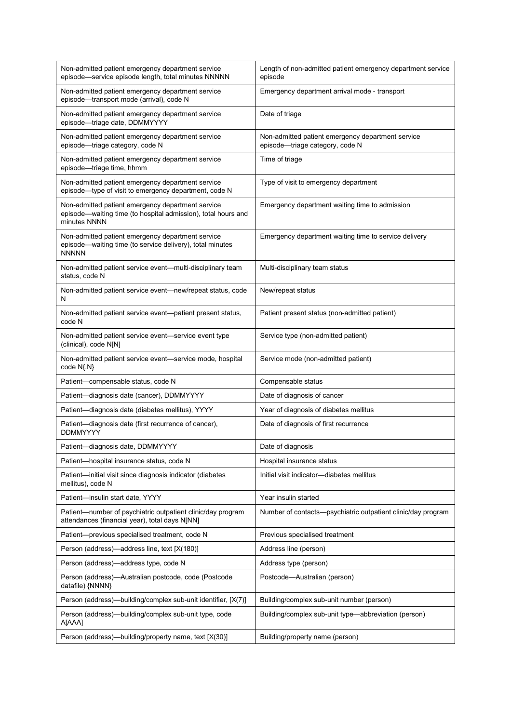| Non-admitted patient emergency department service<br>episode-service episode length, total minutes NNNNN                           | Length of non-admitted patient emergency department service<br>episode               |
|------------------------------------------------------------------------------------------------------------------------------------|--------------------------------------------------------------------------------------|
| Non-admitted patient emergency department service<br>episode-transport mode (arrival), code N                                      | Emergency department arrival mode - transport                                        |
| Non-admitted patient emergency department service<br>episode-triage date, DDMMYYYY                                                 | Date of triage                                                                       |
| Non-admitted patient emergency department service<br>episode-triage category, code N                                               | Non-admitted patient emergency department service<br>episode-triage category, code N |
| Non-admitted patient emergency department service<br>episode-triage time, hhmm                                                     | Time of triage                                                                       |
| Non-admitted patient emergency department service<br>episode—type of visit to emergency department, code N                         | Type of visit to emergency department                                                |
| Non-admitted patient emergency department service<br>episode—waiting time (to hospital admission), total hours and<br>minutes NNNN | Emergency department waiting time to admission                                       |
| Non-admitted patient emergency department service<br>episode-waiting time (to service delivery), total minutes<br><b>NNNNN</b>     | Emergency department waiting time to service delivery                                |
| Non-admitted patient service event—multi-disciplinary team<br>status, code N                                                       | Multi-disciplinary team status                                                       |
| Non-admitted patient service event—new/repeat status, code<br>N                                                                    | New/repeat status                                                                    |
| Non-admitted patient service event-patient present status,<br>code N                                                               | Patient present status (non-admitted patient)                                        |
| Non-admitted patient service event-service event type<br>(clinical), code N[N]                                                     | Service type (non-admitted patient)                                                  |
| Non-admitted patient service event-service mode, hospital<br>code $N\{N\}$                                                         | Service mode (non-admitted patient)                                                  |
| Patient-compensable status, code N                                                                                                 | Compensable status                                                                   |
| Patient-diagnosis date (cancer), DDMMYYYY                                                                                          | Date of diagnosis of cancer                                                          |
| Patient-diagnosis date (diabetes mellitus), YYYY                                                                                   | Year of diagnosis of diabetes mellitus                                               |
| Patient-diagnosis date (first recurrence of cancer),<br><b>DDMMYYYY</b>                                                            | Date of diagnosis of first recurrence                                                |
| Patient-diagnosis date, DDMMYYYY                                                                                                   | Date of diagnosis                                                                    |
| Patient-hospital insurance status, code N                                                                                          | Hospital insurance status                                                            |
| Patient-initial visit since diagnosis indicator (diabetes<br>mellitus), code N                                                     | Initial visit indicator-diabetes mellitus                                            |
| Patient-insulin start date, YYYY                                                                                                   | Year insulin started                                                                 |
| Patient-number of psychiatric outpatient clinic/day program<br>attendances (financial year), total days N[NN]                      | Number of contacts-psychiatric outpatient clinic/day program                         |
| Patient-previous specialised treatment, code N                                                                                     | Previous specialised treatment                                                       |
| Person (address)-address line, text [X(180)]                                                                                       | Address line (person)                                                                |
| Person (address)-address type, code N                                                                                              | Address type (person)                                                                |
| Person (address)—Australian postcode, code (Postcode<br>datafile) {NNNN}                                                           | Postcode-Australian (person)                                                         |
| Person (address)—building/complex sub-unit identifier, [X(7)]                                                                      | Building/complex sub-unit number (person)                                            |
| Person (address)—building/complex sub-unit type, code<br>A[AAA]                                                                    | Building/complex sub-unit type-abbreviation (person)                                 |
| Person (address)—building/property name, text [X(30)]                                                                              | Building/property name (person)                                                      |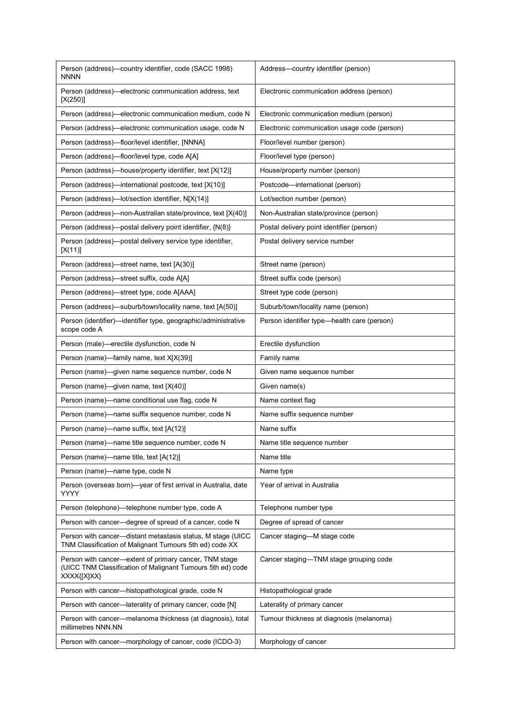| Person (address)—country identifier, code (SACC 1998)<br><b>NNNN</b>                                                                | Address-country identifier (person)          |
|-------------------------------------------------------------------------------------------------------------------------------------|----------------------------------------------|
| Person (address)-electronic communication address, text<br>[X(250)]                                                                 | Electronic communication address (person)    |
| Person (address)—electronic communication medium, code N                                                                            | Electronic communication medium (person)     |
| Person (address)—electronic communication usage, code N                                                                             | Electronic communication usage code (person) |
| Person (address)-floor/level identifier, [NNNA]                                                                                     | Floor/level number (person)                  |
| Person (address)—floor/level type, code A[A]                                                                                        | Floor/level type (person)                    |
| Person (address)-house/property identifier, text [X(12)]                                                                            | House/property number (person)               |
| Person (address)—international postcode, text [X(10)]                                                                               | Postcode-international (person)              |
| Person (address)-lot/section identifier, N[X(14)]                                                                                   | Lot/section number (person)                  |
| Person (address)—non-Australian state/province, text [X(40)]                                                                        | Non-Australian state/province (person)       |
| Person (address)-postal delivery point identifier, {N(8)}                                                                           | Postal delivery point identifier (person)    |
| Person (address)—postal delivery service type identifier,<br>$[X(11)]$                                                              | Postal delivery service number               |
| Person (address)-street name, text [A(30)]                                                                                          | Street name (person)                         |
| Person (address)-street suffix, code A[A]                                                                                           | Street suffix code (person)                  |
| Person (address)-street type, code A[AAA]                                                                                           | Street type code (person)                    |
| Person (address)—suburb/town/locality name, text [A(50)]                                                                            | Suburb/town/locality name (person)           |
| Person (identifier)-identifier type, geographic/administrative<br>scope code A                                                      | Person identifier type-health care (person)  |
| Person (male)-erectile dysfunction, code N                                                                                          | Erectile dysfunction                         |
| Person (name)-family name, text X[X(39)]                                                                                            | Family name                                  |
| Person (name)—given name sequence number, code N                                                                                    | Given name sequence number                   |
| Person (name)—given name, text [X(40)]                                                                                              | Given name(s)                                |
| Person (name)—name conditional use flag, code N                                                                                     | Name context flag                            |
| Person (name)-name suffix sequence number, code N                                                                                   | Name suffix sequence number                  |
| Person (name)—name suffix, text [A(12)]                                                                                             | Name suffix                                  |
| Person (name)—name title sequence number, code N                                                                                    | Name title sequence number                   |
| Person (name)—name title, text [A(12)]                                                                                              | Name title                                   |
| Person (name)-name type, code N                                                                                                     | Name type                                    |
| Person (overseas born)-year of first arrival in Australia, date<br>YYYY                                                             | Year of arrival in Australia                 |
| Person (telephone)—telephone number type, code A                                                                                    | Telephone number type                        |
| Person with cancer-degree of spread of a cancer, code N                                                                             | Degree of spread of cancer                   |
| Person with cancer-distant metastasis status, M stage (UICC)<br>TNM Classification of Malignant Tumours 5th ed) code XX             | Cancer staging-M stage code                  |
| Person with cancer-extent of primary cancer, TNM stage<br>(UICC TNM Classification of Malignant Tumours 5th ed) code<br>XXXX{[X]XX} | Cancer staging-TNM stage grouping code       |
| Person with cancer-histopathological grade, code N                                                                                  | Histopathological grade                      |
| Person with cancer—laterality of primary cancer, code [N]                                                                           | Laterality of primary cancer                 |
| Person with cancer-melanoma thickness (at diagnosis), total<br>millimetres NNN.NN                                                   | Tumour thickness at diagnosis (melanoma)     |
| Person with cancer-morphology of cancer, code (ICDO-3)                                                                              | Morphology of cancer                         |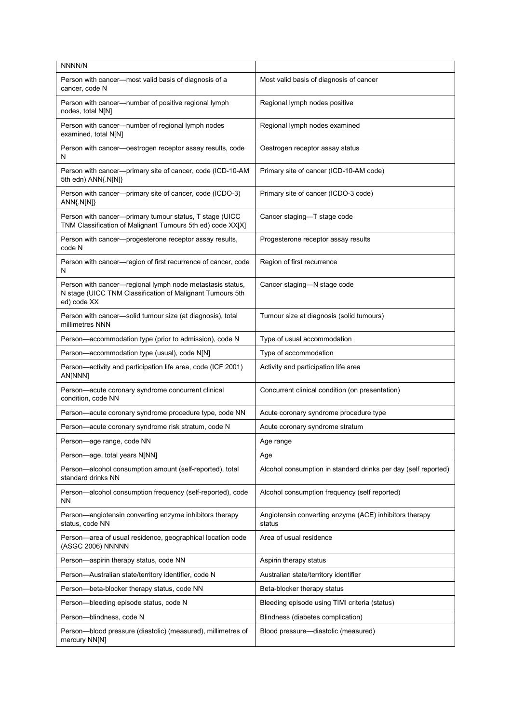| NNNN/N                                                                                                                                |                                                                  |
|---------------------------------------------------------------------------------------------------------------------------------------|------------------------------------------------------------------|
| Person with cancer-most valid basis of diagnosis of a<br>cancer, code N                                                               | Most valid basis of diagnosis of cancer                          |
| Person with cancer—number of positive regional lymph<br>nodes, total N[N]                                                             | Regional lymph nodes positive                                    |
| Person with cancer-number of regional lymph nodes<br>examined, total N[N]                                                             | Regional lymph nodes examined                                    |
| Person with cancer-oestrogen receptor assay results, code<br>N                                                                        | Oestrogen receptor assay status                                  |
| Person with cancer---primary site of cancer, code (ICD-10-AM<br>5th edn) ANN{.N[N]}                                                   | Primary site of cancer (ICD-10-AM code)                          |
| Person with cancer--primary site of cancer, code (ICDO-3)<br>$ANN{N[N]}$                                                              | Primary site of cancer (ICDO-3 code)                             |
| Person with cancer-primary tumour status, T stage (UICC<br>TNM Classification of Malignant Tumours 5th ed) code XX[X]                 | Cancer staging-T stage code                                      |
| Person with cancer-progesterone receptor assay results,<br>code N                                                                     | Progesterone receptor assay results                              |
| Person with cancer-region of first recurrence of cancer, code<br>N                                                                    | Region of first recurrence                                       |
| Person with cancer-regional lymph node metastasis status,<br>N stage (UICC TNM Classification of Malignant Tumours 5th<br>ed) code XX | Cancer staging-N stage code                                      |
| Person with cancer-solid tumour size (at diagnosis), total<br>millimetres NNN                                                         | Tumour size at diagnosis (solid tumours)                         |
| Person-accommodation type (prior to admission), code N                                                                                | Type of usual accommodation                                      |
| Person-accommodation type (usual), code N[N]                                                                                          | Type of accommodation                                            |
| Person—activity and participation life area, code (ICF 2001)<br>AN[NNN]                                                               | Activity and participation life area                             |
| Person-acute coronary syndrome concurrent clinical<br>condition, code NN                                                              | Concurrent clinical condition (on presentation)                  |
| Person-acute coronary syndrome procedure type, code NN                                                                                | Acute coronary syndrome procedure type                           |
| Person-acute coronary syndrome risk stratum, code N                                                                                   | Acute coronary syndrome stratum                                  |
| Person-age range, code NN                                                                                                             | Age range                                                        |
| Person-age, total years N[NN]                                                                                                         | Age                                                              |
| Person-alcohol consumption amount (self-reported), total<br>standard drinks NN                                                        | Alcohol consumption in standard drinks per day (self reported)   |
| Person-alcohol consumption frequency (self-reported), code<br>ΝN                                                                      | Alcohol consumption frequency (self reported)                    |
| Person-angiotensin converting enzyme inhibitors therapy<br>status, code NN                                                            | Angiotensin converting enzyme (ACE) inhibitors therapy<br>status |
| Person-area of usual residence, geographical location code<br>(ASGC 2006) NNNNN                                                       | Area of usual residence                                          |
| Person-aspirin therapy status, code NN                                                                                                | Aspirin therapy status                                           |
| Person-Australian state/territory identifier, code N                                                                                  | Australian state/territory identifier                            |
| Person-beta-blocker therapy status, code NN                                                                                           | Beta-blocker therapy status                                      |
| Person-bleeding episode status, code N                                                                                                | Bleeding episode using TIMI criteria (status)                    |
| Person--blindness, code N                                                                                                             | Blindness (diabetes complication)                                |
| Person-blood pressure (diastolic) (measured), millimetres of<br>mercury NN[N]                                                         | Blood pressure-diastolic (measured)                              |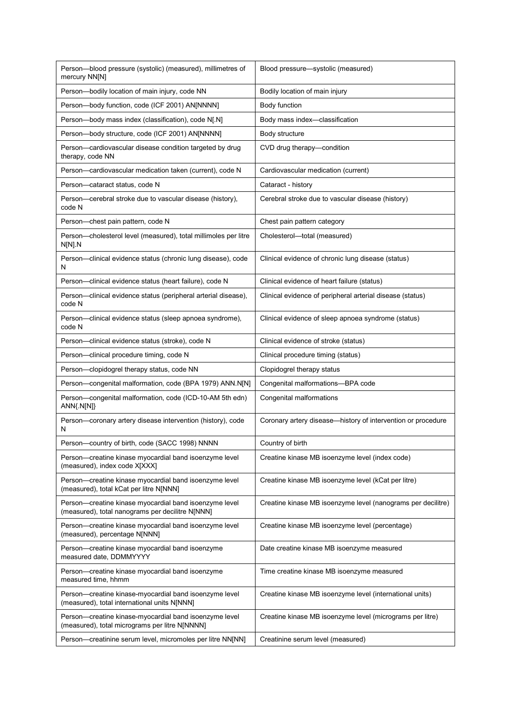| Person-blood pressure (systolic) (measured), millimetres of<br>mercury NN[N]                               | Blood pressure-systolic (measured)                           |
|------------------------------------------------------------------------------------------------------------|--------------------------------------------------------------|
| Person-bodily location of main injury, code NN                                                             | Bodily location of main injury                               |
| Person-body function, code (ICF 2001) AN[NNNN]                                                             | Body function                                                |
| Person-body mass index (classification), code N[.N]                                                        | Body mass index-classification                               |
| Person-body structure, code (ICF 2001) AN[NNNN]                                                            | Body structure                                               |
| Person-cardiovascular disease condition targeted by drug<br>therapy, code NN                               | CVD drug therapy-condition                                   |
| Person-cardiovascular medication taken (current), code N                                                   | Cardiovascular medication (current)                          |
| Person-cataract status, code N                                                                             | Cataract - history                                           |
| Person—cerebral stroke due to vascular disease (history),<br>code N                                        | Cerebral stroke due to vascular disease (history)            |
| Person-chest pain pattern, code N                                                                          | Chest pain pattern category                                  |
| Person-cholesterol level (measured), total millimoles per litre<br>N[N].N                                  | Cholesterol-total (measured)                                 |
| Person—clinical evidence status (chronic lung disease), code<br>N                                          | Clinical evidence of chronic lung disease (status)           |
| Person-clinical evidence status (heart failure), code N                                                    | Clinical evidence of heart failure (status)                  |
| Person-clinical evidence status (peripheral arterial disease),<br>code N                                   | Clinical evidence of peripheral arterial disease (status)    |
| Person—clinical evidence status (sleep apnoea syndrome),<br>code N                                         | Clinical evidence of sleep apnoea syndrome (status)          |
| Person—clinical evidence status (stroke), code N                                                           | Clinical evidence of stroke (status)                         |
| Person—clinical procedure timing, code N                                                                   | Clinical procedure timing (status)                           |
| Person-clopidogrel therapy status, code NN                                                                 | Clopidogrel therapy status                                   |
| Person-congenital malformation, code (BPA 1979) ANN.N[N]                                                   | Congenital malformations-BPA code                            |
| Person-congenital malformation, code (ICD-10-AM 5th edn)<br>ANN{.N[N]}                                     | Congenital malformations                                     |
| Person-coronary artery disease intervention (history), code<br>N                                           | Coronary artery disease—history of intervention or procedure |
| Person-country of birth, code (SACC 1998) NNNN                                                             | Country of birth                                             |
| Person-creatine kinase myocardial band isoenzyme level<br>(measured), index code X[XXX]                    | Creatine kinase MB isoenzyme level (index code)              |
| Person-creatine kinase myocardial band isoenzyme level<br>(measured), total kCat per litre N[NNN]          | Creatine kinase MB isoenzyme level (kCat per litre)          |
| Person-creatine kinase myocardial band isoenzyme level<br>(measured), total nanograms per decilitre N[NNN] | Creatine kinase MB isoenzyme level (nanograms per decilitre) |
| Person-creatine kinase myocardial band isoenzyme level<br>(measured), percentage N[NNN]                    | Creatine kinase MB isoenzyme level (percentage)              |
| Person-creatine kinase myocardial band isoenzyme<br>measured date, DDMMYYYY                                | Date creatine kinase MB isoenzyme measured                   |
| Person-creatine kinase myocardial band isoenzyme<br>measured time, hhmm                                    | Time creatine kinase MB isoenzyme measured                   |
| Person-creatine kinase-myocardial band isoenzyme level<br>(measured), total international units N[NNN]     | Creatine kinase MB isoenzyme level (international units)     |
| Person-creatine kinase-myocardial band isoenzyme level<br>(measured), total micrograms per litre N[NNNN]   | Creatine kinase MB isoenzyme level (micrograms per litre)    |
| Person-creatinine serum level, micromoles per litre NN[NN]                                                 | Creatinine serum level (measured)                            |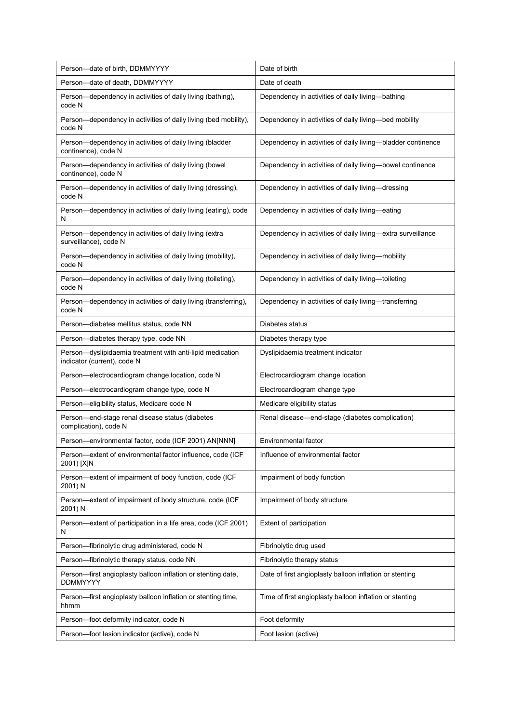| Person-date of birth, DDMMYYYY                                                           | Date of birth                                               |
|------------------------------------------------------------------------------------------|-------------------------------------------------------------|
| Person-date of death, DDMMYYYY                                                           | Date of death                                               |
| Person-dependency in activities of daily living (bathing),<br>code N                     | Dependency in activities of daily living-bathing            |
| Person-dependency in activities of daily living (bed mobility),<br>code N                | Dependency in activities of daily living-bed mobility       |
| Person-dependency in activities of daily living (bladder<br>continence), code N          | Dependency in activities of daily living-bladder continence |
| Person-dependency in activities of daily living (bowel<br>continence), code N            | Dependency in activities of daily living-bowel continence   |
| Person-dependency in activities of daily living (dressing),<br>code N                    | Dependency in activities of daily living-dressing           |
| Person-dependency in activities of daily living (eating), code<br>N                      | Dependency in activities of daily living—eating             |
| Person-dependency in activities of daily living (extra<br>surveillance), code N          | Dependency in activities of daily living-extra surveillance |
| Person-dependency in activities of daily living (mobility),<br>code N                    | Dependency in activities of daily living-mobility           |
| Person-dependency in activities of daily living (toileting),<br>code N                   | Dependency in activities of daily living-toileting          |
| Person-dependency in activities of daily living (transferring),<br>code N                | Dependency in activities of daily living-transferring       |
| Person-diabetes mellitus status, code NN                                                 | Diabetes status                                             |
| Person-diabetes therapy type, code NN                                                    | Diabetes therapy type                                       |
| Person-dyslipidaemia treatment with anti-lipid medication<br>indicator (current), code N | Dyslipidaemia treatment indicator                           |
| Person-electrocardiogram change location, code N                                         | Electrocardiogram change location                           |
| Person-electrocardiogram change type, code N                                             | Electrocardiogram change type                               |
| Person-eligibility status, Medicare code N                                               | Medicare eligibility status                                 |
| Person-end-stage renal disease status (diabetes<br>complication), code N                 | Renal disease-end-stage (diabetes complication)             |
| Person-environmental factor, code (ICF 2001) AN[NNN]                                     | Environmental factor                                        |
| Person-extent of environmental factor influence, code (ICF<br>2001) [X]N                 | Influence of environmental factor                           |
| Person-extent of impairment of body function, code (ICF<br>2001) N                       | Impairment of body function                                 |
| Person-extent of impairment of body structure, code (ICF<br>2001) N                      | Impairment of body structure                                |
| Person-extent of participation in a life area, code (ICF 2001)<br>N                      | Extent of participation                                     |
| Person-fibrinolytic drug administered, code N                                            | Fibrinolytic drug used                                      |
| Person-fibrinolytic therapy status, code NN                                              | Fibrinolytic therapy status                                 |
| Person-first angioplasty balloon inflation or stenting date,<br><b>DDMMYYYY</b>          | Date of first angioplasty balloon inflation or stenting     |
| Person—first angioplasty balloon inflation or stenting time,<br>hhmm                     | Time of first angioplasty balloon inflation or stenting     |
| Person-foot deformity indicator, code N                                                  | Foot deformity                                              |
| Person-foot lesion indicator (active), code N                                            | Foot lesion (active)                                        |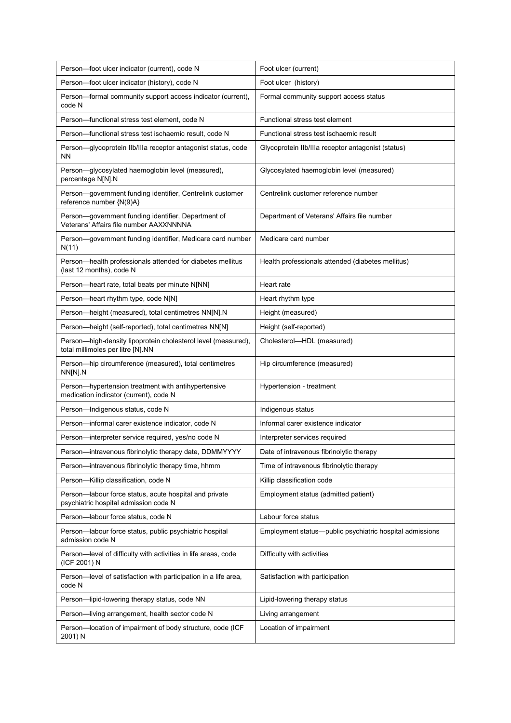| Person-foot ulcer indicator (current), code N                                                      | Foot ulcer (current)                                     |
|----------------------------------------------------------------------------------------------------|----------------------------------------------------------|
| Person-foot ulcer indicator (history), code N                                                      | Foot ulcer (history)                                     |
| Person-formal community support access indicator (current),<br>code N                              | Formal community support access status                   |
| Person-functional stress test element, code N                                                      | Functional stress test element                           |
| Person—functional stress test ischaemic result, code N                                             | Functional stress test ischaemic result                  |
| Person-glycoprotein IIb/IIIa receptor antagonist status, code<br><b>NN</b>                         | Glycoprotein IIb/IIIa receptor antagonist (status)       |
| Person-glycosylated haemoglobin level (measured),<br>percentage N[N].N                             | Glycosylated haemoglobin level (measured)                |
| Person-government funding identifier, Centrelink customer<br>reference number {N(9)A}              | Centrelink customer reference number                     |
| Person-government funding identifier, Department of<br>Veterans' Affairs file number AAXXNNNNA     | Department of Veterans' Affairs file number              |
| Person-government funding identifier, Medicare card number<br>N(11)                                | Medicare card number                                     |
| Person-health professionals attended for diabetes mellitus<br>(last 12 months), code N             | Health professionals attended (diabetes mellitus)        |
| Person-heart rate, total beats per minute N[NN]                                                    | Heart rate                                               |
| Person-heart rhythm type, code N[N]                                                                | Heart rhythm type                                        |
| Person-height (measured), total centimetres NN[N].N                                                | Height (measured)                                        |
| Person-height (self-reported), total centimetres NN[N]                                             | Height (self-reported)                                   |
| Person-high-density lipoprotein cholesterol level (measured),<br>total millimoles per litre [N].NN | Cholesterol-HDL (measured)                               |
| Person-hip circumference (measured), total centimetres<br>NN[N].N                                  | Hip circumference (measured)                             |
| Person-hypertension treatment with antihypertensive<br>medication indicator (current), code N      | Hypertension - treatment                                 |
| Person-Indigenous status, code N                                                                   | Indigenous status                                        |
| Person-informal carer existence indicator, code N                                                  | Informal carer existence indicator                       |
| Person-interpreter service required, yes/no code N                                                 | Interpreter services required                            |
| Person-intravenous fibrinolytic therapy date, DDMMYYYY                                             | Date of intravenous fibrinolytic therapy                 |
| Person-intravenous fibrinolytic therapy time, hhmm                                                 | Time of intravenous fibrinolytic therapy                 |
| Person-Killip classification, code N                                                               | Killip classification code                               |
| Person-labour force status, acute hospital and private<br>psychiatric hospital admission code N    | Employment status (admitted patient)                     |
| Person-labour force status, code N                                                                 | Labour force status                                      |
| Person-labour force status, public psychiatric hospital<br>admission code N                        | Employment status—public psychiatric hospital admissions |
| Person-level of difficulty with activities in life areas, code<br>(ICF 2001) N                     | Difficulty with activities                               |
| Person-level of satisfaction with participation in a life area,<br>code N                          | Satisfaction with participation                          |
| Person-lipid-lowering therapy status, code NN                                                      | Lipid-lowering therapy status                            |
| Person-living arrangement, health sector code N                                                    | Living arrangement                                       |
| Person-location of impairment of body structure, code (ICF<br>2001) N                              | Location of impairment                                   |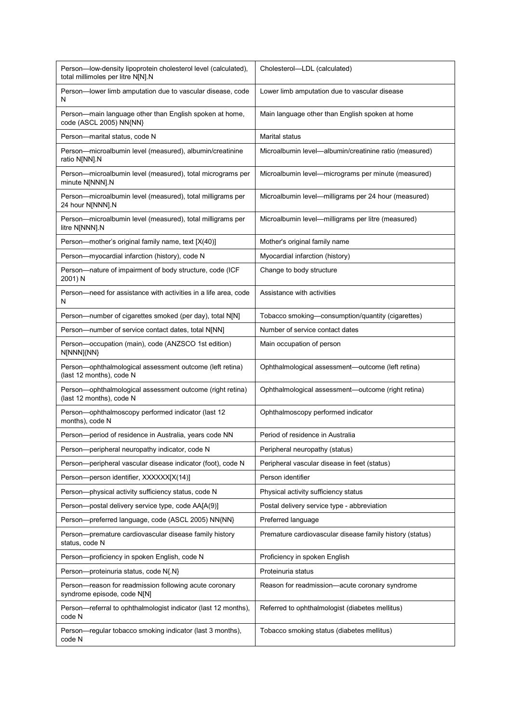| Person-low-density lipoprotein cholesterol level (calculated),<br>total millimoles per litre N[N].N | Cholesterol-LDL (calculated)                             |
|-----------------------------------------------------------------------------------------------------|----------------------------------------------------------|
| Person-lower limb amputation due to vascular disease, code<br>N                                     | Lower limb amputation due to vascular disease            |
| Person-main language other than English spoken at home,<br>code (ASCL 2005) NN{NN}                  | Main language other than English spoken at home          |
| Person-marital status, code N                                                                       | Marital status                                           |
| Person-microalbumin level (measured), albumin/creatinine<br>ratio N[NN].N                           | Microalbumin level—albumin/creatinine ratio (measured)   |
| Person-microalbumin level (measured), total micrograms per<br>minute N[NNN].N                       | Microalbumin level—micrograms per minute (measured)      |
| Person-microalbumin level (measured), total milligrams per<br>24 hour N[NNN].N                      | Microalbumin level-milligrams per 24 hour (measured)     |
| Person-microalbumin level (measured), total milligrams per<br>litre N[NNN].N                        | Microalbumin level-milligrams per litre (measured)       |
| Person-mother's original family name, text [X(40)]                                                  | Mother's original family name                            |
| Person-myocardial infarction (history), code N                                                      | Myocardial infarction (history)                          |
| Person-nature of impairment of body structure, code (ICF<br>2001) N                                 | Change to body structure                                 |
| Person-need for assistance with activities in a life area, code<br>N                                | Assistance with activities                               |
| Person—number of cigarettes smoked (per day), total N[N]                                            | Tobacco smoking-consumption/quantity (cigarettes)        |
| Person-number of service contact dates, total N[NN]                                                 | Number of service contact dates                          |
| Person-occupation (main), code (ANZSCO 1st edition)<br>N[NNN]{NN}                                   | Main occupation of person                                |
| Person-ophthalmological assessment outcome (left retina)<br>(last 12 months), code N                | Ophthalmological assessment—outcome (left retina)        |
| Person-ophthalmological assessment outcome (right retina)<br>(last 12 months), code N               | Ophthalmological assessment-outcome (right retina)       |
| Person-ophthalmoscopy performed indicator (last 12<br>months), code N                               | Ophthalmoscopy performed indicator                       |
| Person-period of residence in Australia, years code NN                                              | Period of residence in Australia                         |
| Person-peripheral neuropathy indicator, code N                                                      | Peripheral neuropathy (status)                           |
| Person-peripheral vascular disease indicator (foot), code N                                         | Peripheral vascular disease in feet (status)             |
| Person-person identifier, XXXXXX[X(14)]                                                             | Person identifier                                        |
| Person-physical activity sufficiency status, code N                                                 | Physical activity sufficiency status                     |
| Person-postal delivery service type, code AA[A(9)]                                                  | Postal delivery service type - abbreviation              |
| Person-preferred language, code (ASCL 2005) NN{NN}                                                  | Preferred language                                       |
| Person-premature cardiovascular disease family history<br>status, code N                            | Premature cardiovascular disease family history (status) |
| Person-proficiency in spoken English, code N                                                        | Proficiency in spoken English                            |
| Person-proteinuria status, code N{.N}                                                               | Proteinuria status                                       |
| Person-reason for readmission following acute coronary<br>syndrome episode, code N[N]               | Reason for readmission-acute coronary syndrome           |
| Person-referral to ophthalmologist indicator (last 12 months),<br>code N                            | Referred to ophthalmologist (diabetes mellitus)          |
| Person-regular tobacco smoking indicator (last 3 months),<br>code N                                 | Tobacco smoking status (diabetes mellitus)               |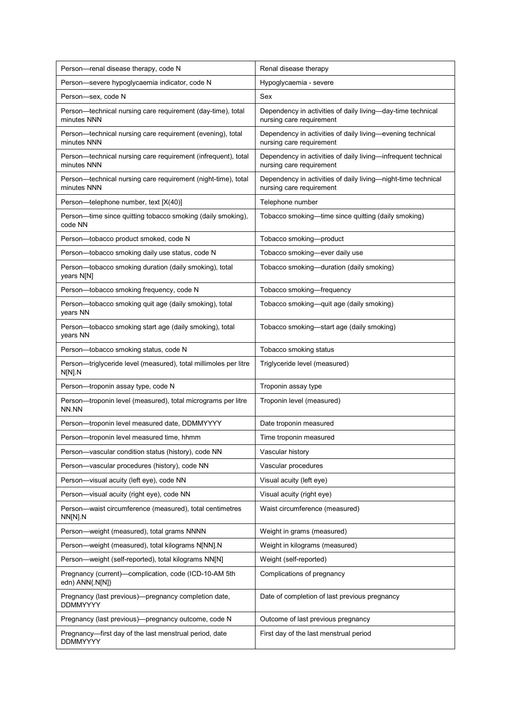| Person-renal disease therapy, code N                                         | Renal disease therapy                                                                     |
|------------------------------------------------------------------------------|-------------------------------------------------------------------------------------------|
| Person-severe hypoglycaemia indicator, code N                                | Hypoglycaemia - severe                                                                    |
| Person-sex, code N                                                           | Sex                                                                                       |
| Person—technical nursing care requirement (day-time), total<br>minutes NNN   | Dependency in activities of daily living-day-time technical<br>nursing care requirement   |
| Person—technical nursing care requirement (evening), total<br>minutes NNN    | Dependency in activities of daily living-evening technical<br>nursing care requirement    |
| Person-technical nursing care requirement (infrequent), total<br>minutes NNN | Dependency in activities of daily living-infrequent technical<br>nursing care requirement |
| Person-technical nursing care requirement (night-time), total<br>minutes NNN | Dependency in activities of daily living—night-time technical<br>nursing care requirement |
| Person-telephone number, text [X(40)]                                        | Telephone number                                                                          |
| Person-time since quitting tobacco smoking (daily smoking),<br>code NN       | Tobacco smoking—time since quitting (daily smoking)                                       |
| Person-tobacco product smoked, code N                                        | Tobacco smoking-product                                                                   |
| Person-tobacco smoking daily use status, code N                              | Tobacco smoking-ever daily use                                                            |
| Person-tobacco smoking duration (daily smoking), total<br>years N[N]         | Tobacco smoking-duration (daily smoking)                                                  |
| Person-tobacco smoking frequency, code N                                     | Tobacco smoking-frequency                                                                 |
| Person-tobacco smoking quit age (daily smoking), total<br>years NN           | Tobacco smoking-quit age (daily smoking)                                                  |
| Person-tobacco smoking start age (daily smoking), total<br>years NN          | Tobacco smoking-start age (daily smoking)                                                 |
| Person-tobacco smoking status, code N                                        | Tobacco smoking status                                                                    |
| Person-triglyceride level (measured), total millimoles per litre<br>N[N] N   | Triglyceride level (measured)                                                             |
| Person-troponin assay type, code N                                           | Troponin assay type                                                                       |
| Person-troponin level (measured), total micrograms per litre<br>NN.NN        | Troponin level (measured)                                                                 |
| Person-troponin level measured date, DDMMYYYY                                | Date troponin measured                                                                    |
| Person-troponin level measured time, hhmm                                    | Time troponin measured                                                                    |
| Person-vascular condition status (history), code NN                          | Vascular history                                                                          |
| Person-vascular procedures (history), code NN                                | Vascular procedures                                                                       |
| Person-visual acuity (left eye), code NN                                     | Visual acuity (left eye)                                                                  |
| Person-visual acuity (right eye), code NN                                    | Visual acuity (right eye)                                                                 |
| Person-waist circumference (measured), total centimetres<br>NN[N].N          | Waist circumference (measured)                                                            |
| Person-weight (measured), total grams NNNN                                   | Weight in grams (measured)                                                                |
| Person-weight (measured), total kilograms N[NN].N                            | Weight in kilograms (measured)                                                            |
| Person-weight (self-reported), total kilograms NN[N]                         | Weight (self-reported)                                                                    |
| Pregnancy (current)—complication, code (ICD-10-AM 5th<br>edn) ANN{.N[N]}     | Complications of pregnancy                                                                |
| Pregnancy (last previous)—pregnancy completion date,<br><b>DDMMYYYY</b>      | Date of completion of last previous pregnancy                                             |
| Pregnancy (last previous)—pregnancy outcome, code N                          | Outcome of last previous pregnancy                                                        |
| Pregnancy-first day of the last menstrual period, date<br><b>DDMMYYYY</b>    | First day of the last menstrual period                                                    |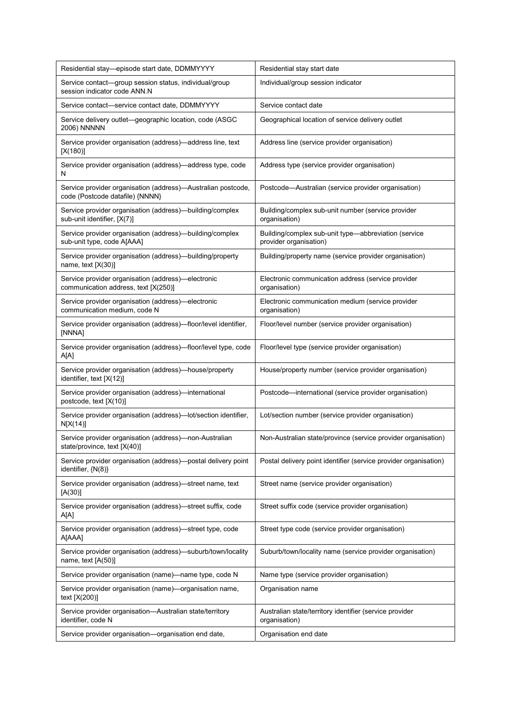| Residential stay—episode start date, DDMMYYYY                                                   | Residential stay start date                                                    |
|-------------------------------------------------------------------------------------------------|--------------------------------------------------------------------------------|
| Service contact-group session status, individual/group<br>session indicator code ANN.N          | Individual/group session indicator                                             |
| Service contact—service contact date, DDMMYYYY                                                  | Service contact date                                                           |
| Service delivery outlet—geographic location, code (ASGC<br><b>2006) NNNNN</b>                   | Geographical location of service delivery outlet                               |
| Service provider organisation (address)-address line, text<br>[X(180)]                          | Address line (service provider organisation)                                   |
| Service provider organisation (address)-address type, code<br>N                                 | Address type (service provider organisation)                                   |
| Service provider organisation (address)-Australian postcode,<br>code (Postcode datafile) {NNNN} | Postcode—Australian (service provider organisation)                            |
| Service provider organisation (address)—building/complex<br>sub-unit identifier, [X(7)]         | Building/complex sub-unit number (service provider<br>organisation)            |
| Service provider organisation (address)-building/complex<br>sub-unit type, code A[AAA]          | Building/complex sub-unit type-abbreviation (service<br>provider organisation) |
| Service provider organisation (address)-building/property<br>name, text $[X(30)]$               | Building/property name (service provider organisation)                         |
| Service provider organisation (address)—electronic<br>communication address, text [X(250)]      | Electronic communication address (service provider<br>organisation)            |
| Service provider organisation (address)-electronic<br>communication medium, code N              | Electronic communication medium (service provider<br>organisation)             |
| Service provider organisation (address)—floor/level identifier,<br>[NNNA]                       | Floor/level number (service provider organisation)                             |
| Service provider organisation (address)—floor/level type, code<br>A[A]                          | Floor/level type (service provider organisation)                               |
| Service provider organisation (address)-house/property<br>identifier, text [X(12)]              | House/property number (service provider organisation)                          |
| Service provider organisation (address)—international<br>postcode, text [X(10)]                 | Postcode-international (service provider organisation)                         |
| Service provider organisation (address)-lot/section identifier,<br>N[X(14)]                     | Lot/section number (service provider organisation)                             |
| Service provider organisation (address)-non-Australian<br>state/province, text [X(40)]          | Non-Australian state/province (service provider organisation)                  |
| Service provider organisation (address)—postal delivery point<br>identifier, $\{N(8)\}$         | Postal delivery point identifier (service provider organisation)               |
| Service provider organisation (address)—street name, text<br>[A(30)]                            | Street name (service provider organisation)                                    |
| Service provider organisation (address)—street suffix, code<br>A[A]                             | Street suffix code (service provider organisation)                             |
| Service provider organisation (address)-street type, code<br>A[AAA]                             | Street type code (service provider organisation)                               |
| Service provider organisation (address)—suburb/town/locality<br>name, text $[A(50)]$            | Suburb/town/locality name (service provider organisation)                      |
| Service provider organisation (name)-name type, code N                                          | Name type (service provider organisation)                                      |
| Service provider organisation (name)—organisation name,<br>text [X(200)]                        | Organisation name                                                              |
| Service provider organisation-Australian state/territory<br>identifier, code N                  | Australian state/territory identifier (service provider<br>organisation)       |
| Service provider organisation-organisation end date,                                            | Organisation end date                                                          |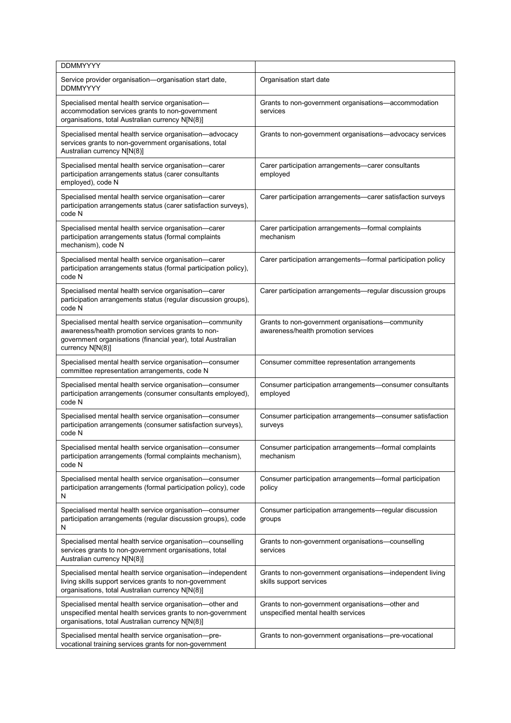| <b>DDMMYYYY</b>                                                                                                                                                                                   |                                                                                         |
|---------------------------------------------------------------------------------------------------------------------------------------------------------------------------------------------------|-----------------------------------------------------------------------------------------|
| Service provider organisation-organisation start date,<br><b>DDMMYYYY</b>                                                                                                                         | Organisation start date                                                                 |
| Specialised mental health service organisation-<br>accommodation services grants to non-government<br>organisations, total Australian currency N[N(8)]                                            | Grants to non-government organisations-accommodation<br>services                        |
| Specialised mental health service organisation-advocacy<br>services grants to non-government organisations, total<br>Australian currency N[N(8)]                                                  | Grants to non-government organisations—advocacy services                                |
| Specialised mental health service organisation-carer<br>participation arrangements status (carer consultants<br>employed), code N                                                                 | Carer participation arrangements-carer consultants<br>employed                          |
| Specialised mental health service organisation-carer<br>participation arrangements status (carer satisfaction surveys),<br>code N                                                                 | Carer participation arrangements-carer satisfaction surveys                             |
| Specialised mental health service organisation-carer<br>participation arrangements status (formal complaints<br>mechanism), code N                                                                | Carer participation arrangements—formal complaints<br>mechanism                         |
| Specialised mental health service organisation-carer<br>participation arrangements status (formal participation policy),<br>code N                                                                | Carer participation arrangements—formal participation policy                            |
| Specialised mental health service organisation-carer<br>participation arrangements status (regular discussion groups),<br>code N                                                                  | Carer participation arrangements—regular discussion groups                              |
| Specialised mental health service organisation-community<br>awareness/health promotion services grants to non-<br>government organisations (financial year), total Australian<br>currency N[N(8)] | Grants to non-government organisations-community<br>awareness/health promotion services |
| Specialised mental health service organisation-consumer<br>committee representation arrangements, code N                                                                                          | Consumer committee representation arrangements                                          |
| Specialised mental health service organisation-consumer<br>participation arrangements (consumer consultants employed),<br>code N                                                                  | Consumer participation arrangements-consumer consultants<br>employed                    |
| Specialised mental health service organisation-consumer<br>participation arrangements (consumer satisfaction surveys),<br>code N                                                                  | Consumer participation arrangements-consumer satisfaction<br>surveys                    |
| Specialised mental health service organisation-consumer<br>participation arrangements (formal complaints mechanism),<br>code N                                                                    | Consumer participation arrangements-formal complaints<br>mechanism                      |
| Specialised mental health service organisation-consumer<br>participation arrangements (formal participation policy), code<br>N                                                                    | Consumer participation arrangements-formal participation<br>policy                      |
| Specialised mental health service organisation-consumer<br>participation arrangements (regular discussion groups), code<br>N                                                                      | Consumer participation arrangements—regular discussion<br>groups                        |
| Specialised mental health service organisation-counselling<br>services grants to non-government organisations, total<br>Australian currency N[N(8)]                                               | Grants to non-government organisations-counselling<br>services                          |
| Specialised mental health service organisation-independent<br>living skills support services grants to non-government<br>organisations, total Australian currency N[N(8)]                         | Grants to non-government organisations-independent living<br>skills support services    |
| Specialised mental health service organisation-other and<br>unspecified mental health services grants to non-government<br>organisations, total Australian currency N[N(8)]                       | Grants to non-government organisations-other and<br>unspecified mental health services  |
| Specialised mental health service organisation---pre-<br>vocational training services grants for non-government                                                                                   | Grants to non-government organisations—pre-vocational                                   |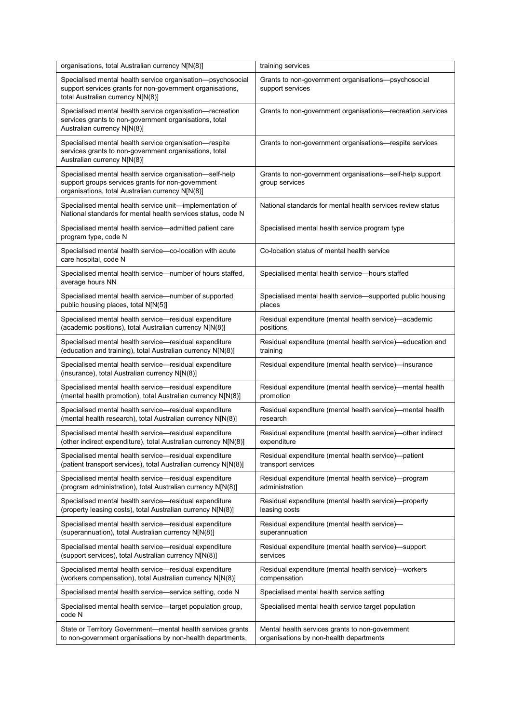| organisations, total Australian currency N[N(8)]                                                                                                                  | training services                                                          |
|-------------------------------------------------------------------------------------------------------------------------------------------------------------------|----------------------------------------------------------------------------|
| Specialised mental health service organisation-psychosocial<br>support services grants for non-government organisations,<br>total Australian currency N[N(8)]     | Grants to non-government organisations--psychosocial<br>support services   |
| Specialised mental health service organisation-recreation<br>services grants to non-government organisations, total<br>Australian currency N[N(8)]                | Grants to non-government organisations-recreation services                 |
| Specialised mental health service organisation-respite<br>services grants to non-government organisations, total<br>Australian currency N[N(8)]                   | Grants to non-government organisations-respite services                    |
| Specialised mental health service organisation-self-help<br>support groups services grants for non-government<br>organisations, total Australian currency N[N(8)] | Grants to non-government organisations-self-help support<br>group services |
| Specialised mental health service unit-implementation of<br>National standards for mental health services status, code N                                          | National standards for mental health services review status                |
| Specialised mental health service—admitted patient care<br>program type, code N                                                                                   | Specialised mental health service program type                             |
| Specialised mental health service-co-location with acute<br>care hospital, code N                                                                                 | Co-location status of mental health service                                |
| Specialised mental health service—number of hours staffed,<br>average hours NN                                                                                    | Specialised mental health service-hours staffed                            |
| Specialised mental health service-number of supported                                                                                                             | Specialised mental health service—supported public housing                 |
| public housing places, total N[N(5)]                                                                                                                              | places                                                                     |
| Specialised mental health service-residual expenditure                                                                                                            | Residual expenditure (mental health service)—academic                      |
| (academic positions), total Australian currency N[N(8)]                                                                                                           | positions                                                                  |
| Specialised mental health service-residual expenditure                                                                                                            | Residual expenditure (mental health service)—education and                 |
| (education and training), total Australian currency N[N(8)]                                                                                                       | training                                                                   |
| Specialised mental health service-residual expenditure<br>(insurance), total Australian currency N[N(8)]                                                          | Residual expenditure (mental health service)—insurance                     |
| Specialised mental health service-residual expenditure                                                                                                            | Residual expenditure (mental health service)—mental health                 |
| (mental health promotion), total Australian currency N[N(8)]                                                                                                      | promotion                                                                  |
| Specialised mental health service-residual expenditure                                                                                                            | Residual expenditure (mental health service)—mental health                 |
| (mental health research), total Australian currency N[N(8)]                                                                                                       | research                                                                   |
| Specialised mental health service-residual expenditure                                                                                                            | Residual expenditure (mental health service)—other indirect                |
| (other indirect expenditure), total Australian currency N[N(8)]                                                                                                   | expenditure                                                                |
| Specialised mental health service-residual expenditure                                                                                                            | Residual expenditure (mental health service)-patient                       |
| (patient transport services), total Australian currency N[N(8)]                                                                                                   | transport services                                                         |
| Specialised mental health service-residual expenditure                                                                                                            | Residual expenditure (mental health service)-program                       |
| (program administration), total Australian currency N[N(8)]                                                                                                       | administration                                                             |
| Specialised mental health service-residual expenditure                                                                                                            | Residual expenditure (mental health service)—property                      |
| (property leasing costs), total Australian currency N[N(8)]                                                                                                       | leasing costs                                                              |
| Specialised mental health service-residual expenditure                                                                                                            | Residual expenditure (mental health service)-                              |
| (superannuation), total Australian currency N[N(8)]                                                                                                               | superannuation                                                             |
| Specialised mental health service-residual expenditure                                                                                                            | Residual expenditure (mental health service)—support                       |
| (support services), total Australian currency N[N(8)]                                                                                                             | services                                                                   |
| Specialised mental health service-residual expenditure                                                                                                            | Residual expenditure (mental health service)-workers                       |
| (workers compensation), total Australian currency N[N(8)]                                                                                                         | compensation                                                               |
| Specialised mental health service-service setting, code N                                                                                                         | Specialised mental health service setting                                  |
| Specialised mental health service-target population group,<br>code N                                                                                              | Specialised mental health service target population                        |
| State or Territory Government-mental health services grants                                                                                                       | Mental health services grants to non-government                            |
| to non-government organisations by non-health departments,                                                                                                        | organisations by non-health departments                                    |